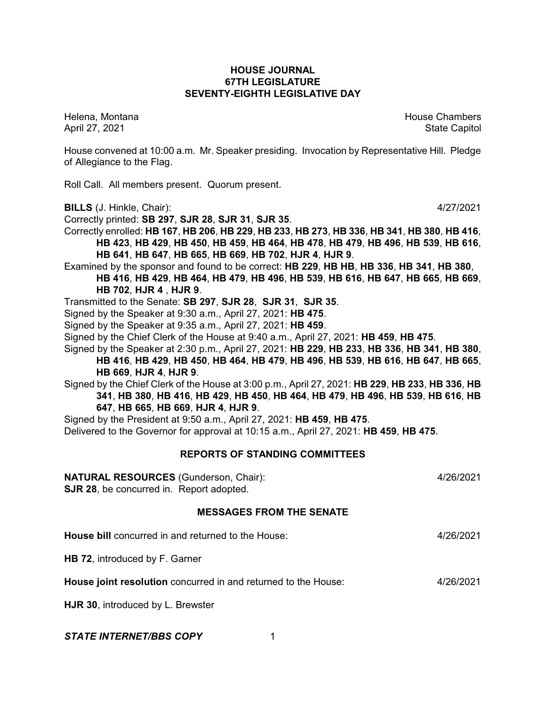## **HOUSE JOURNAL 67TH LEGISLATURE SEVENTY-EIGHTH LEGISLATIVE DAY**

Helena, Montana House Chambers Chambers Chambers and House Chambers Chambers Chambers Chambers and House Chambers and House Chambers and House Chambers and House Chambers and House Chambers and House Chambers and House Cha April 27, 2021 State Capitol

House convened at 10:00 a.m. Mr. Speaker presiding. Invocation by Representative Hill. Pledge of Allegiance to the Flag.

Roll Call. All members present. Quorum present.

**BILLS** (J. Hinkle, Chair): 4/27/2021

Correctly printed: **SB 297**, **SJR 28**, **SJR 31**, **SJR 35**.

Correctly enrolled: **HB 167**, **HB 206**, **HB 229**, **HB 233**, **HB 273**, **HB 336**, **HB 341**, **HB 380**, **HB 416**, **HB 423**, **HB 429**, **HB 450**, **HB 459**, **HB 464**, **HB 478**, **HB 479**, **HB 496**, **HB 539**, **HB 616**, **HB 641**, **HB 647**, **HB 665**, **HB 669**, **HB 702**, **HJR 4**, **HJR 9**.

Examined by the sponsor and found to be correct: **HB 229**, **HB HB**, **HB 336**, **HB 341**, **HB 380**, **HB 416**, **HB 429**, **HB 464**, **HB 479**, **HB 496**, **HB 539**, **HB 616**, **HB 647**, **HB 665**, **HB 669**, **HB 702**, **HJR 4** , **HJR 9**.

Transmitted to the Senate: **SB 297**, **SJR 28**, **SJR 31**, **SJR 35**.

Signed by the Speaker at 9:30 a.m., April 27, 2021: **HB 475**.

Signed by the Speaker at 9:35 a.m., April 27, 2021: **HB 459**.

Signed by the Chief Clerk of the House at 9:40 a.m., April 27, 2021: **HB 459**, **HB 475**.

Signed by the Speaker at 2:30 p.m., April 27, 2021: **HB 229**, **HB 233**, **HB 336**, **HB 341**, **HB 380**,

**HB 416**, **HB 429**, **HB 450**, **HB 464**, **HB 479**, **HB 496**, **HB 539**, **HB 616**, **HB 647**, **HB 665**, **HB 669**, **HJR 4**, **HJR 9**.

Signed by the Chief Clerk of the House at 3:00 p.m., April 27, 2021: **HB 229**, **HB 233**, **HB 336**, **HB 341**, **HB 380**, **HB 416**, **HB 429**, **HB 450**, **HB 464**, **HB 479**, **HB 496**, **HB 539**, **HB 616**, **HB 647**, **HB 665**, **HB 669**, **HJR 4**, **HJR 9**.

Signed by the President at 9:50 a.m., April 27, 2021: **HB 459**, **HB 475**.

Delivered to the Governor for approval at 10:15 a.m., April 27, 2021: **HB 459**, **HB 475**.

## **REPORTS OF STANDING COMMITTEES**

## **NATURAL RESOURCES** (Gunderson, Chair): 4/26/2021

**SJR 28**, be concurred in. Report adopted.

## **MESSAGES FROM THE SENATE**

**House bill** concurred in and returned to the House: 4/26/2021

**HB 72**, introduced by F. Garner

**House joint resolution** concurred in and returned to the House: 4/26/2021

**HJR 30**, introduced by L. Brewster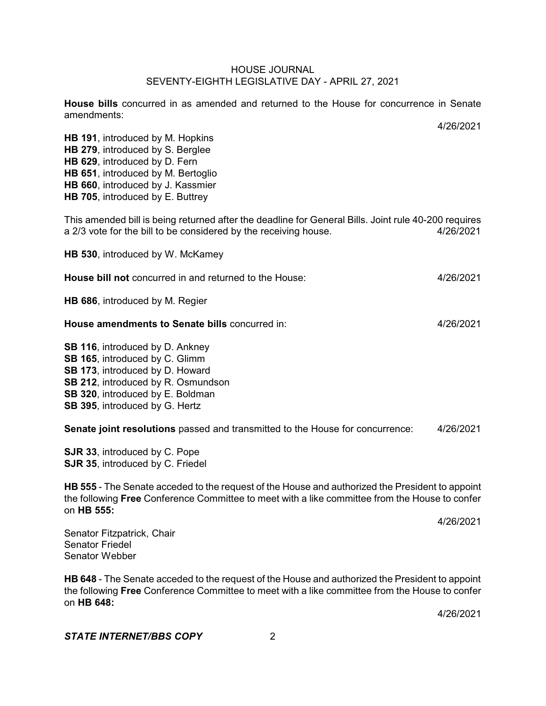**House bills** concurred in as amended and returned to the House for concurrence in Senate amendments:

**HB 191**, introduced by M. Hopkins **HB 279**, introduced by S. Berglee **HB 629**, introduced by D. Fern **HB 651**, introduced by M. Bertoglio **HB 660**, introduced by J. Kassmier **HB 705**, introduced by E. Buttrey

This amended bill is being returned after the deadline for General Bills. Joint rule 40-200 requires a 2/3 vote for the bill to be considered by the receiving house. 4/26/2021

**HB 530**, introduced by W. McKamey

| <b>House bill not</b> concurred in and returned to the House: | 4/26/2021 |
|---------------------------------------------------------------|-----------|
|                                                               |           |

**HB 686**, introduced by M. Regier

#### **House amendments to Senate bills** concurred in: 4/26/2021

**SB 116**, introduced by D. Ankney **SB 165**, introduced by C. Glimm **SB 173**, introduced by D. Howard **SB 212**, introduced by R. Osmundson **SB 320**, introduced by E. Boldman **SB 395**, introduced by G. Hertz

**Senate joint resolutions** passed and transmitted to the House for concurrence: 4/26/2021

**SJR 33**, introduced by C. Pope **SJR 35**, introduced by C. Friedel

**HB 555** - The Senate acceded to the request of the House and authorized the President to appoint the following **Free** Conference Committee to meet with a like committee from the House to confer on **HB 555:**

4/26/2021

4/26/2021

Senator Fitzpatrick, Chair Senator Friedel Senator Webber

**HB 648** - The Senate acceded to the request of the House and authorized the President to appoint the following **Free** Conference Committee to meet with a like committee from the House to confer on **HB 648:**

4/26/2021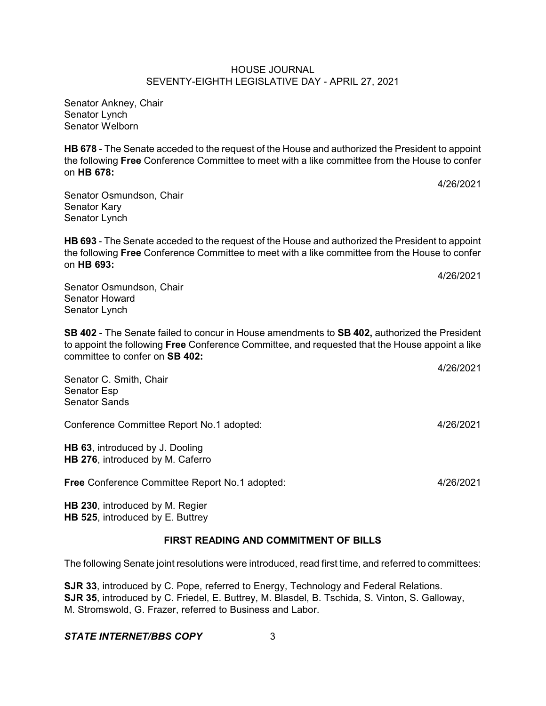Senator Ankney, Chair Senator Lynch Senator Welborn

Senator Lynch

**HB 678** - The Senate acceded to the request of the House and authorized the President to appoint the following **Free** Conference Committee to meet with a like committee from the House to confer on **HB 678:**

Senator Osmundson, Chair Senator Kary

**HB 693** - The Senate acceded to the request of the House and authorized the President to appoint the following **Free** Conference Committee to meet with a like committee from the House to confer on **HB 693:**

Senator Osmundson, Chair Senator Howard Senator Lynch

**SB 402** - The Senate failed to concur in House amendments to **SB 402,** authorized the President to appoint the following **Free** Conference Committee, and requested that the House appoint a like committee to confer on **SB 402:**

Senator C. Smith, Chair Senator Esp Senator Sands

Conference Committee Report No.1 adopted: 4/26/2021

**HB 63**, introduced by J. Dooling **HB 276**, introduced by M. Caferro

**Free** Conference Committee Report No.1 adopted: 4/26/2021

**HB 230**, introduced by M. Regier **HB 525**, introduced by E. Buttrey

# **FIRST READING AND COMMITMENT OF BILLS**

The following Senate joint resolutions were introduced, read first time, and referred to committees:

**SJR 33**, introduced by C. Pope, referred to Energy, Technology and Federal Relations. **SJR 35**, introduced by C. Friedel, E. Buttrey, M. Blasdel, B. Tschida, S. Vinton, S. Galloway, M. Stromswold, G. Frazer, referred to Business and Labor.

## *STATE INTERNET/BBS COPY* 3

4/26/2021

4/26/2021

4/26/2021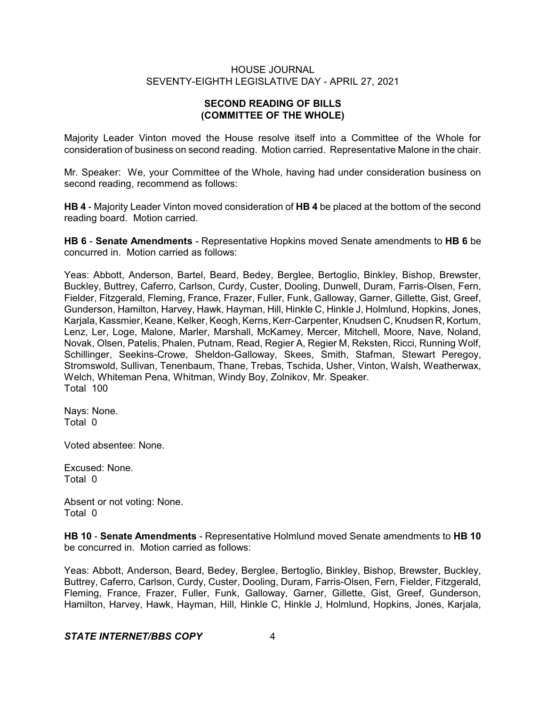# **SECOND READING OF BILLS (COMMITTEE OF THE WHOLE)**

Majority Leader Vinton moved the House resolve itself into a Committee of the Whole for consideration of business on second reading. Motion carried. Representative Malone in the chair.

Mr. Speaker: We, your Committee of the Whole, having had under consideration business on second reading, recommend as follows:

**HB 4** - Majority Leader Vinton moved consideration of **HB 4** be placed at the bottom of the second reading board. Motion carried.

**HB 6** - **Senate Amendments** - Representative Hopkins moved Senate amendments to **HB 6** be concurred in. Motion carried as follows:

Yeas: Abbott, Anderson, Bartel, Beard, Bedey, Berglee, Bertoglio, Binkley, Bishop, Brewster, Buckley, Buttrey, Caferro, Carlson, Curdy, Custer, Dooling, Dunwell, Duram, Farris-Olsen, Fern, Fielder, Fitzgerald, Fleming, France, Frazer, Fuller, Funk, Galloway, Garner, Gillette, Gist, Greef, Gunderson, Hamilton, Harvey, Hawk, Hayman, Hill, Hinkle C, Hinkle J, Holmlund, Hopkins, Jones, Karjala, Kassmier, Keane, Kelker, Keogh, Kerns, Kerr-Carpenter, Knudsen C, Knudsen R, Kortum, Lenz, Ler, Loge, Malone, Marler, Marshall, McKamey, Mercer, Mitchell, Moore, Nave, Noland, Novak, Olsen, Patelis, Phalen, Putnam, Read, Regier A, Regier M, Reksten, Ricci, Running Wolf, Schillinger, Seekins-Crowe, Sheldon-Galloway, Skees, Smith, Stafman, Stewart Peregoy, Stromswold, Sullivan, Tenenbaum, Thane, Trebas, Tschida, Usher, Vinton, Walsh, Weatherwax, Welch, Whiteman Pena, Whitman, Windy Boy, Zolnikov, Mr. Speaker. Total 100

Nays: None. Total 0

Voted absentee: None.

Excused: None. Total 0

Absent or not voting: None. Total 0

**HB 10** - **Senate Amendments** - Representative Holmlund moved Senate amendments to **HB 10** be concurred in. Motion carried as follows:

Yeas: Abbott, Anderson, Beard, Bedey, Berglee, Bertoglio, Binkley, Bishop, Brewster, Buckley, Buttrey, Caferro, Carlson, Curdy, Custer, Dooling, Duram, Farris-Olsen, Fern, Fielder, Fitzgerald, Fleming, France, Frazer, Fuller, Funk, Galloway, Garner, Gillette, Gist, Greef, Gunderson, Hamilton, Harvey, Hawk, Hayman, Hill, Hinkle C, Hinkle J, Holmlund, Hopkins, Jones, Karjala,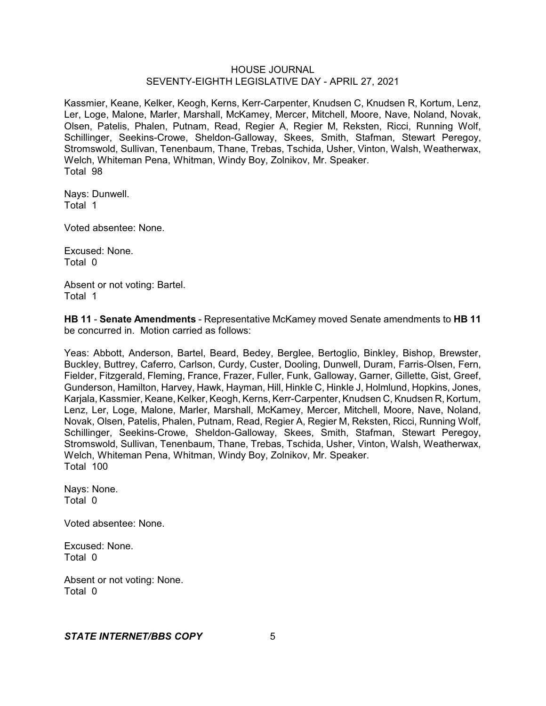Kassmier, Keane, Kelker, Keogh, Kerns, Kerr-Carpenter, Knudsen C, Knudsen R, Kortum, Lenz, Ler, Loge, Malone, Marler, Marshall, McKamey, Mercer, Mitchell, Moore, Nave, Noland, Novak, Olsen, Patelis, Phalen, Putnam, Read, Regier A, Regier M, Reksten, Ricci, Running Wolf, Schillinger, Seekins-Crowe, Sheldon-Galloway, Skees, Smith, Stafman, Stewart Peregoy, Stromswold, Sullivan, Tenenbaum, Thane, Trebas, Tschida, Usher, Vinton, Walsh, Weatherwax, Welch, Whiteman Pena, Whitman, Windy Boy, Zolnikov, Mr. Speaker. Total 98

Nays: Dunwell. Total 1

Voted absentee: None.

Excused: None. Total 0

Absent or not voting: Bartel. Total 1

**HB 11** - **Senate Amendments** - Representative McKamey moved Senate amendments to **HB 11** be concurred in. Motion carried as follows:

Yeas: Abbott, Anderson, Bartel, Beard, Bedey, Berglee, Bertoglio, Binkley, Bishop, Brewster, Buckley, Buttrey, Caferro, Carlson, Curdy, Custer, Dooling, Dunwell, Duram, Farris-Olsen, Fern, Fielder, Fitzgerald, Fleming, France, Frazer, Fuller, Funk, Galloway, Garner, Gillette, Gist, Greef, Gunderson, Hamilton, Harvey, Hawk, Hayman, Hill, Hinkle C, Hinkle J, Holmlund, Hopkins, Jones, Karjala, Kassmier, Keane, Kelker, Keogh, Kerns, Kerr-Carpenter, Knudsen C, Knudsen R, Kortum, Lenz, Ler, Loge, Malone, Marler, Marshall, McKamey, Mercer, Mitchell, Moore, Nave, Noland, Novak, Olsen, Patelis, Phalen, Putnam, Read, Regier A, Regier M, Reksten, Ricci, Running Wolf, Schillinger, Seekins-Crowe, Sheldon-Galloway, Skees, Smith, Stafman, Stewart Peregoy, Stromswold, Sullivan, Tenenbaum, Thane, Trebas, Tschida, Usher, Vinton, Walsh, Weatherwax, Welch, Whiteman Pena, Whitman, Windy Boy, Zolnikov, Mr. Speaker. Total 100

Nays: None. Total 0

Voted absentee: None.

Excused: None. Total 0

Absent or not voting: None. Total 0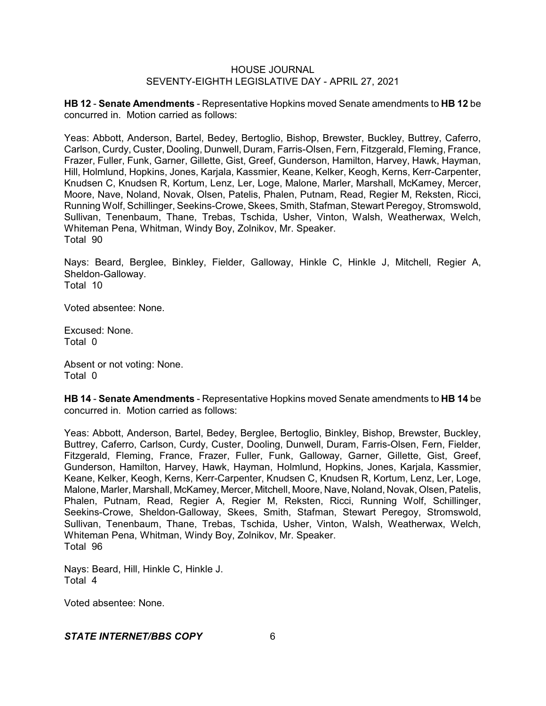**HB 12** - **Senate Amendments** - Representative Hopkins moved Senate amendments to **HB 12** be concurred in. Motion carried as follows:

Yeas: Abbott, Anderson, Bartel, Bedey, Bertoglio, Bishop, Brewster, Buckley, Buttrey, Caferro, Carlson, Curdy, Custer, Dooling, Dunwell, Duram, Farris-Olsen, Fern, Fitzgerald, Fleming, France, Frazer, Fuller, Funk, Garner, Gillette, Gist, Greef, Gunderson, Hamilton, Harvey, Hawk, Hayman, Hill, Holmlund, Hopkins, Jones, Karjala, Kassmier, Keane, Kelker, Keogh, Kerns, Kerr-Carpenter, Knudsen C, Knudsen R, Kortum, Lenz, Ler, Loge, Malone, Marler, Marshall, McKamey, Mercer, Moore, Nave, Noland, Novak, Olsen, Patelis, Phalen, Putnam, Read, Regier M, Reksten, Ricci, Running Wolf, Schillinger, Seekins-Crowe, Skees, Smith, Stafman, Stewart Peregoy, Stromswold, Sullivan, Tenenbaum, Thane, Trebas, Tschida, Usher, Vinton, Walsh, Weatherwax, Welch, Whiteman Pena, Whitman, Windy Boy, Zolnikov, Mr. Speaker. Total 90

Nays: Beard, Berglee, Binkley, Fielder, Galloway, Hinkle C, Hinkle J, Mitchell, Regier A, Sheldon-Galloway. Total 10

Voted absentee: None.

Excused: None. Total 0

Absent or not voting: None. Total 0

**HB 14** - **Senate Amendments** - Representative Hopkins moved Senate amendments to **HB 14** be concurred in. Motion carried as follows:

Yeas: Abbott, Anderson, Bartel, Bedey, Berglee, Bertoglio, Binkley, Bishop, Brewster, Buckley, Buttrey, Caferro, Carlson, Curdy, Custer, Dooling, Dunwell, Duram, Farris-Olsen, Fern, Fielder, Fitzgerald, Fleming, France, Frazer, Fuller, Funk, Galloway, Garner, Gillette, Gist, Greef, Gunderson, Hamilton, Harvey, Hawk, Hayman, Holmlund, Hopkins, Jones, Karjala, Kassmier, Keane, Kelker, Keogh, Kerns, Kerr-Carpenter, Knudsen C, Knudsen R, Kortum, Lenz, Ler, Loge, Malone, Marler, Marshall, McKamey, Mercer, Mitchell, Moore, Nave, Noland, Novak, Olsen, Patelis, Phalen, Putnam, Read, Regier A, Regier M, Reksten, Ricci, Running Wolf, Schillinger, Seekins-Crowe, Sheldon-Galloway, Skees, Smith, Stafman, Stewart Peregoy, Stromswold, Sullivan, Tenenbaum, Thane, Trebas, Tschida, Usher, Vinton, Walsh, Weatherwax, Welch, Whiteman Pena, Whitman, Windy Boy, Zolnikov, Mr. Speaker. Total 96

Nays: Beard, Hill, Hinkle C, Hinkle J. Total 4

Voted absentee: None.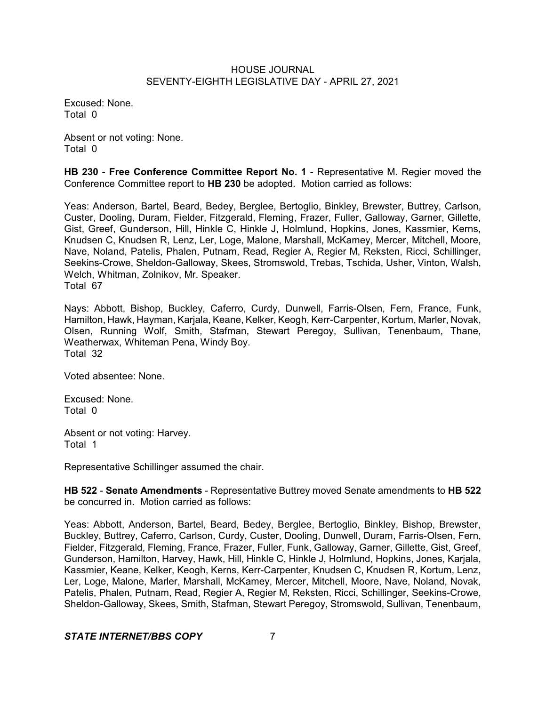Excused: None. Total 0

Absent or not voting: None. Total 0

**HB 230** - **Free Conference Committee Report No. 1** - Representative M. Regier moved the Conference Committee report to **HB 230** be adopted. Motion carried as follows:

Yeas: Anderson, Bartel, Beard, Bedey, Berglee, Bertoglio, Binkley, Brewster, Buttrey, Carlson, Custer, Dooling, Duram, Fielder, Fitzgerald, Fleming, Frazer, Fuller, Galloway, Garner, Gillette, Gist, Greef, Gunderson, Hill, Hinkle C, Hinkle J, Holmlund, Hopkins, Jones, Kassmier, Kerns, Knudsen C, Knudsen R, Lenz, Ler, Loge, Malone, Marshall, McKamey, Mercer, Mitchell, Moore, Nave, Noland, Patelis, Phalen, Putnam, Read, Regier A, Regier M, Reksten, Ricci, Schillinger, Seekins-Crowe, Sheldon-Galloway, Skees, Stromswold, Trebas, Tschida, Usher, Vinton, Walsh, Welch, Whitman, Zolnikov, Mr. Speaker. Total 67

Nays: Abbott, Bishop, Buckley, Caferro, Curdy, Dunwell, Farris-Olsen, Fern, France, Funk, Hamilton, Hawk, Hayman, Karjala, Keane, Kelker, Keogh, Kerr-Carpenter, Kortum, Marler, Novak, Olsen, Running Wolf, Smith, Stafman, Stewart Peregoy, Sullivan, Tenenbaum, Thane, Weatherwax, Whiteman Pena, Windy Boy. Total 32

Voted absentee: None.

Excused: None. Total 0

Absent or not voting: Harvey. Total 1

Representative Schillinger assumed the chair.

**HB 522** - **Senate Amendments** - Representative Buttrey moved Senate amendments to **HB 522** be concurred in. Motion carried as follows:

Yeas: Abbott, Anderson, Bartel, Beard, Bedey, Berglee, Bertoglio, Binkley, Bishop, Brewster, Buckley, Buttrey, Caferro, Carlson, Curdy, Custer, Dooling, Dunwell, Duram, Farris-Olsen, Fern, Fielder, Fitzgerald, Fleming, France, Frazer, Fuller, Funk, Galloway, Garner, Gillette, Gist, Greef, Gunderson, Hamilton, Harvey, Hawk, Hill, Hinkle C, Hinkle J, Holmlund, Hopkins, Jones, Karjala, Kassmier, Keane, Kelker, Keogh, Kerns, Kerr-Carpenter, Knudsen C, Knudsen R, Kortum, Lenz, Ler, Loge, Malone, Marler, Marshall, McKamey, Mercer, Mitchell, Moore, Nave, Noland, Novak, Patelis, Phalen, Putnam, Read, Regier A, Regier M, Reksten, Ricci, Schillinger, Seekins-Crowe, Sheldon-Galloway, Skees, Smith, Stafman, Stewart Peregoy, Stromswold, Sullivan, Tenenbaum,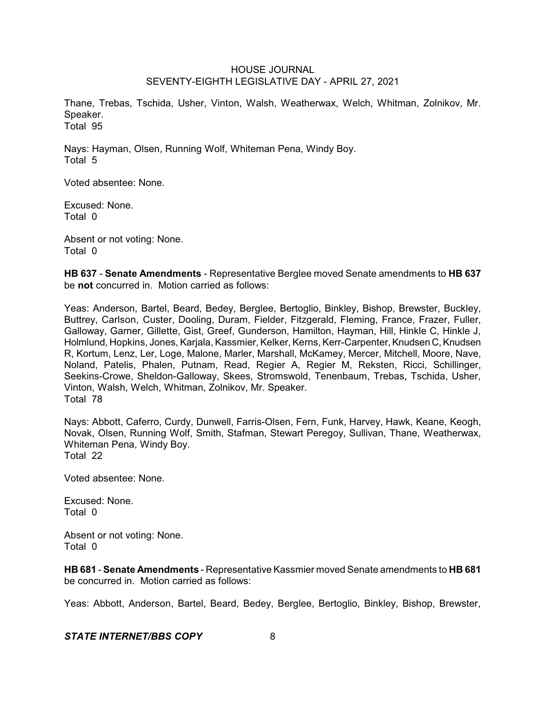Thane, Trebas, Tschida, Usher, Vinton, Walsh, Weatherwax, Welch, Whitman, Zolnikov, Mr. Speaker. Total 95

Nays: Hayman, Olsen, Running Wolf, Whiteman Pena, Windy Boy. Total 5

Voted absentee: None.

Excused: None. Total 0

Absent or not voting: None. Total 0

**HB 637** - **Senate Amendments** - Representative Berglee moved Senate amendments to **HB 637** be **not** concurred in. Motion carried as follows:

Yeas: Anderson, Bartel, Beard, Bedey, Berglee, Bertoglio, Binkley, Bishop, Brewster, Buckley, Buttrey, Carlson, Custer, Dooling, Duram, Fielder, Fitzgerald, Fleming, France, Frazer, Fuller, Galloway, Garner, Gillette, Gist, Greef, Gunderson, Hamilton, Hayman, Hill, Hinkle C, Hinkle J, Holmlund, Hopkins, Jones, Karjala, Kassmier, Kelker, Kerns,Kerr-Carpenter,Knudsen C,Knudsen R, Kortum, Lenz, Ler, Loge, Malone, Marler, Marshall, McKamey, Mercer, Mitchell, Moore, Nave, Noland, Patelis, Phalen, Putnam, Read, Regier A, Regier M, Reksten, Ricci, Schillinger, Seekins-Crowe, Sheldon-Galloway, Skees, Stromswold, Tenenbaum, Trebas, Tschida, Usher, Vinton, Walsh, Welch, Whitman, Zolnikov, Mr. Speaker. Total 78

Nays: Abbott, Caferro, Curdy, Dunwell, Farris-Olsen, Fern, Funk, Harvey, Hawk, Keane, Keogh, Novak, Olsen, Running Wolf, Smith, Stafman, Stewart Peregoy, Sullivan, Thane, Weatherwax, Whiteman Pena, Windy Boy. Total 22

Voted absentee: None.

Excused: None. Total 0

Absent or not voting: None. Total 0

**HB 681** - **Senate Amendments** - Representative Kassmier moved Senate amendments to **HB 681** be concurred in. Motion carried as follows:

Yeas: Abbott, Anderson, Bartel, Beard, Bedey, Berglee, Bertoglio, Binkley, Bishop, Brewster,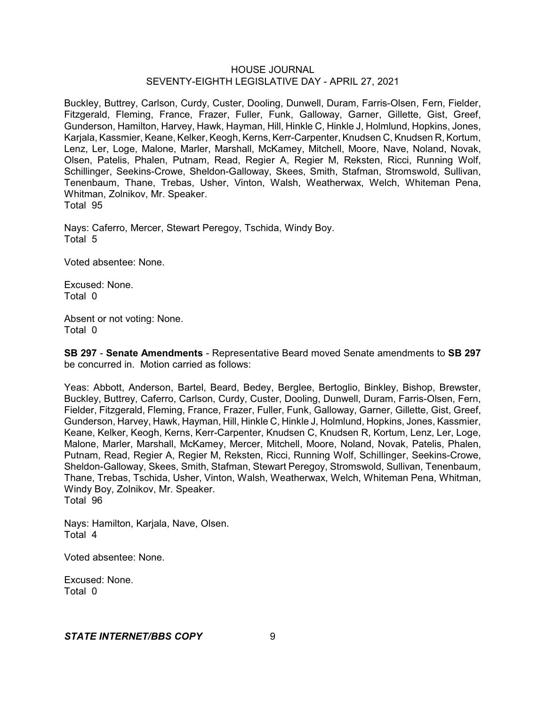Buckley, Buttrey, Carlson, Curdy, Custer, Dooling, Dunwell, Duram, Farris-Olsen, Fern, Fielder, Fitzgerald, Fleming, France, Frazer, Fuller, Funk, Galloway, Garner, Gillette, Gist, Greef, Gunderson, Hamilton, Harvey, Hawk, Hayman, Hill, Hinkle C, Hinkle J, Holmlund, Hopkins, Jones, Karjala, Kassmier, Keane, Kelker, Keogh, Kerns, Kerr-Carpenter, Knudsen C, Knudsen R, Kortum, Lenz, Ler, Loge, Malone, Marler, Marshall, McKamey, Mitchell, Moore, Nave, Noland, Novak, Olsen, Patelis, Phalen, Putnam, Read, Regier A, Regier M, Reksten, Ricci, Running Wolf, Schillinger, Seekins-Crowe, Sheldon-Galloway, Skees, Smith, Stafman, Stromswold, Sullivan, Tenenbaum, Thane, Trebas, Usher, Vinton, Walsh, Weatherwax, Welch, Whiteman Pena, Whitman, Zolnikov, Mr. Speaker. Total 95

Nays: Caferro, Mercer, Stewart Peregoy, Tschida, Windy Boy. Total 5

Voted absentee: None.

Excused: None. Total 0

Absent or not voting: None. Total 0

**SB 297** - **Senate Amendments** - Representative Beard moved Senate amendments to **SB 297** be concurred in. Motion carried as follows:

Yeas: Abbott, Anderson, Bartel, Beard, Bedey, Berglee, Bertoglio, Binkley, Bishop, Brewster, Buckley, Buttrey, Caferro, Carlson, Curdy, Custer, Dooling, Dunwell, Duram, Farris-Olsen, Fern, Fielder, Fitzgerald, Fleming, France, Frazer, Fuller, Funk, Galloway, Garner, Gillette, Gist, Greef, Gunderson, Harvey, Hawk, Hayman, Hill, Hinkle C, Hinkle J, Holmlund, Hopkins, Jones, Kassmier, Keane, Kelker, Keogh, Kerns, Kerr-Carpenter, Knudsen C, Knudsen R, Kortum, Lenz, Ler, Loge, Malone, Marler, Marshall, McKamey, Mercer, Mitchell, Moore, Noland, Novak, Patelis, Phalen, Putnam, Read, Regier A, Regier M, Reksten, Ricci, Running Wolf, Schillinger, Seekins-Crowe, Sheldon-Galloway, Skees, Smith, Stafman, Stewart Peregoy, Stromswold, Sullivan, Tenenbaum, Thane, Trebas, Tschida, Usher, Vinton, Walsh, Weatherwax, Welch, Whiteman Pena, Whitman, Windy Boy, Zolnikov, Mr. Speaker. Total 96

Nays: Hamilton, Karjala, Nave, Olsen. Total 4

Voted absentee: None.

Excused: None. Total 0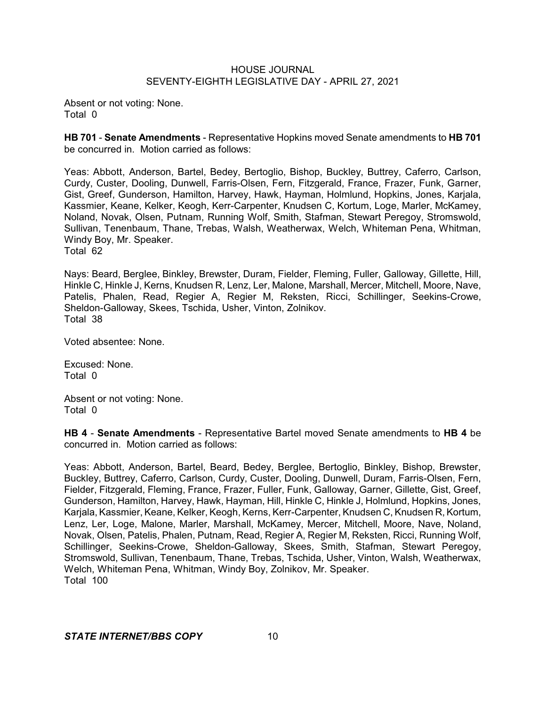Absent or not voting: None. Total 0

**HB 701** - **Senate Amendments** - Representative Hopkins moved Senate amendments to **HB 701** be concurred in. Motion carried as follows:

Yeas: Abbott, Anderson, Bartel, Bedey, Bertoglio, Bishop, Buckley, Buttrey, Caferro, Carlson, Curdy, Custer, Dooling, Dunwell, Farris-Olsen, Fern, Fitzgerald, France, Frazer, Funk, Garner, Gist, Greef, Gunderson, Hamilton, Harvey, Hawk, Hayman, Holmlund, Hopkins, Jones, Karjala, Kassmier, Keane, Kelker, Keogh, Kerr-Carpenter, Knudsen C, Kortum, Loge, Marler, McKamey, Noland, Novak, Olsen, Putnam, Running Wolf, Smith, Stafman, Stewart Peregoy, Stromswold, Sullivan, Tenenbaum, Thane, Trebas, Walsh, Weatherwax, Welch, Whiteman Pena, Whitman, Windy Boy, Mr. Speaker. Total 62

Nays: Beard, Berglee, Binkley, Brewster, Duram, Fielder, Fleming, Fuller, Galloway, Gillette, Hill, Hinkle C, Hinkle J, Kerns, Knudsen R, Lenz, Ler, Malone, Marshall, Mercer, Mitchell, Moore, Nave, Patelis, Phalen, Read, Regier A, Regier M, Reksten, Ricci, Schillinger, Seekins-Crowe, Sheldon-Galloway, Skees, Tschida, Usher, Vinton, Zolnikov. Total 38

Voted absentee: None.

Excused: None. Total 0

Absent or not voting: None. Total 0

**HB 4** - **Senate Amendments** - Representative Bartel moved Senate amendments to **HB 4** be concurred in. Motion carried as follows:

Yeas: Abbott, Anderson, Bartel, Beard, Bedey, Berglee, Bertoglio, Binkley, Bishop, Brewster, Buckley, Buttrey, Caferro, Carlson, Curdy, Custer, Dooling, Dunwell, Duram, Farris-Olsen, Fern, Fielder, Fitzgerald, Fleming, France, Frazer, Fuller, Funk, Galloway, Garner, Gillette, Gist, Greef, Gunderson, Hamilton, Harvey, Hawk, Hayman, Hill, Hinkle C, Hinkle J, Holmlund, Hopkins, Jones, Karjala, Kassmier, Keane, Kelker, Keogh, Kerns, Kerr-Carpenter, Knudsen C, Knudsen R, Kortum, Lenz, Ler, Loge, Malone, Marler, Marshall, McKamey, Mercer, Mitchell, Moore, Nave, Noland, Novak, Olsen, Patelis, Phalen, Putnam, Read, Regier A, Regier M, Reksten, Ricci, Running Wolf, Schillinger, Seekins-Crowe, Sheldon-Galloway, Skees, Smith, Stafman, Stewart Peregoy, Stromswold, Sullivan, Tenenbaum, Thane, Trebas, Tschida, Usher, Vinton, Walsh, Weatherwax, Welch, Whiteman Pena, Whitman, Windy Boy, Zolnikov, Mr. Speaker. Total 100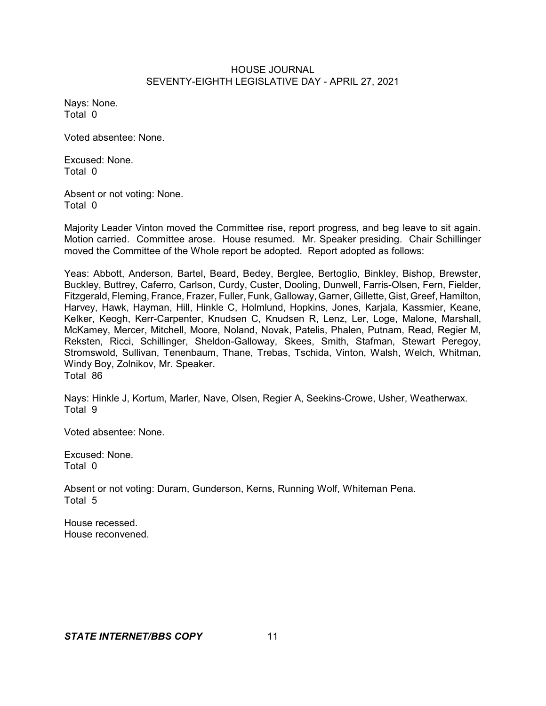Nays: None. Total 0

Voted absentee: None.

Excused: None. Total 0

Absent or not voting: None. Total 0

Majority Leader Vinton moved the Committee rise, report progress, and beg leave to sit again. Motion carried. Committee arose. House resumed. Mr. Speaker presiding. Chair Schillinger moved the Committee of the Whole report be adopted. Report adopted as follows:

Yeas: Abbott, Anderson, Bartel, Beard, Bedey, Berglee, Bertoglio, Binkley, Bishop, Brewster, Buckley, Buttrey, Caferro, Carlson, Curdy, Custer, Dooling, Dunwell, Farris-Olsen, Fern, Fielder, Fitzgerald, Fleming, France, Frazer, Fuller, Funk, Galloway, Garner, Gillette, Gist, Greef, Hamilton, Harvey, Hawk, Hayman, Hill, Hinkle C, Holmlund, Hopkins, Jones, Karjala, Kassmier, Keane, Kelker, Keogh, Kerr-Carpenter, Knudsen C, Knudsen R, Lenz, Ler, Loge, Malone, Marshall, McKamey, Mercer, Mitchell, Moore, Noland, Novak, Patelis, Phalen, Putnam, Read, Regier M, Reksten, Ricci, Schillinger, Sheldon-Galloway, Skees, Smith, Stafman, Stewart Peregoy, Stromswold, Sullivan, Tenenbaum, Thane, Trebas, Tschida, Vinton, Walsh, Welch, Whitman, Windy Boy, Zolnikov, Mr. Speaker. Total 86

Nays: Hinkle J, Kortum, Marler, Nave, Olsen, Regier A, Seekins-Crowe, Usher, Weatherwax. Total 9

Voted absentee: None.

Excused: None. Total 0

Absent or not voting: Duram, Gunderson, Kerns, Running Wolf, Whiteman Pena. Total 5

House recessed. House reconvened.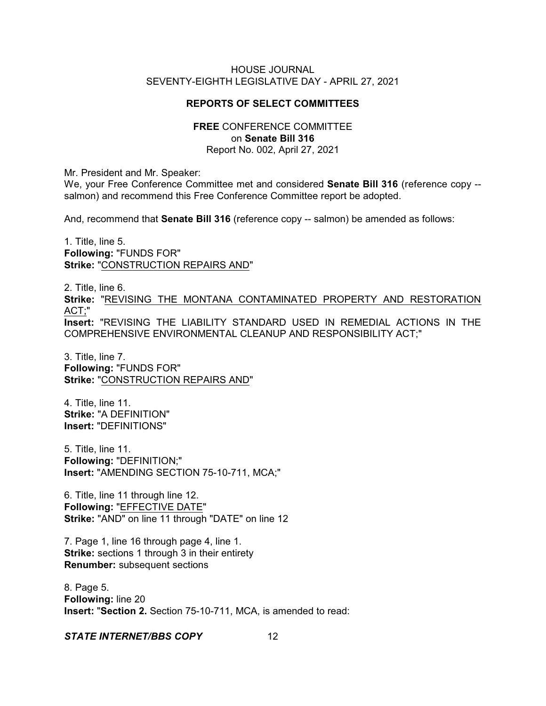## **REPORTS OF SELECT COMMITTEES**

#### **FREE** CONFERENCE COMMITTEE on **Senate Bill 316** Report No. 002, April 27, 2021

Mr. President and Mr. Speaker:

We, your Free Conference Committee met and considered **Senate Bill 316** (reference copy - salmon) and recommend this Free Conference Committee report be adopted.

And, recommend that **Senate Bill 316** (reference copy -- salmon) be amended as follows:

1. Title, line 5. **Following:** "FUNDS FOR" **Strike:** "CONSTRUCTION REPAIRS AND"

2. Title, line 6. **Strike:** "REVISING THE MONTANA CONTAMINATED PROPERTY AND RESTORATION ACT;" **Insert:** "REVISING THE LIABILITY STANDARD USED IN REMEDIAL ACTIONS IN THE COMPREHENSIVE ENVIRONMENTAL CLEANUP AND RESPONSIBILITY ACT;"

3. Title, line 7. **Following:** "FUNDS FOR" **Strike:** "CONSTRUCTION REPAIRS AND"

4. Title, line 11. **Strike:** "A DEFINITION" **Insert:** "DEFINITIONS"

5. Title, line 11. **Following:** "DEFINITION;" **Insert:** "AMENDING SECTION 75-10-711, MCA;"

6. Title, line 11 through line 12. **Following:** "EFFECTIVE DATE" **Strike:** "AND" on line 11 through "DATE" on line 12

7. Page 1, line 16 through page 4, line 1. **Strike:** sections 1 through 3 in their entirety **Renumber:** subsequent sections

8. Page 5. **Following:** line 20 **Insert:** "**Section 2.** Section 75-10-711, MCA, is amended to read: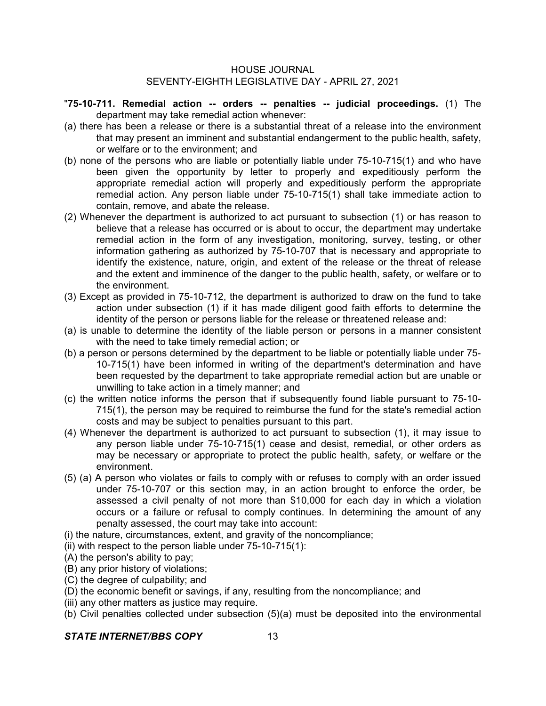- "**75-10-711. Remedial action -- orders -- penalties -- judicial proceedings.** (1) The department may take remedial action whenever:
- (a) there has been a release or there is a substantial threat of a release into the environment that may present an imminent and substantial endangerment to the public health, safety, or welfare or to the environment; and
- (b) none of the persons who are liable or potentially liable under 75-10-715(1) and who have been given the opportunity by letter to properly and expeditiously perform the appropriate remedial action will properly and expeditiously perform the appropriate remedial action. Any person liable under 75-10-715(1) shall take immediate action to contain, remove, and abate the release.
- (2) Whenever the department is authorized to act pursuant to subsection (1) or has reason to believe that a release has occurred or is about to occur, the department may undertake remedial action in the form of any investigation, monitoring, survey, testing, or other information gathering as authorized by 75-10-707 that is necessary and appropriate to identify the existence, nature, origin, and extent of the release or the threat of release and the extent and imminence of the danger to the public health, safety, or welfare or to the environment.
- (3) Except as provided in 75-10-712, the department is authorized to draw on the fund to take action under subsection (1) if it has made diligent good faith efforts to determine the identity of the person or persons liable for the release or threatened release and:
- (a) is unable to determine the identity of the liable person or persons in a manner consistent with the need to take timely remedial action; or
- (b) a person or persons determined by the department to be liable or potentially liable under 75- 10-715(1) have been informed in writing of the department's determination and have been requested by the department to take appropriate remedial action but are unable or unwilling to take action in a timely manner; and
- (c) the written notice informs the person that if subsequently found liable pursuant to 75-10- 715(1), the person may be required to reimburse the fund for the state's remedial action costs and may be subject to penalties pursuant to this part.
- (4) Whenever the department is authorized to act pursuant to subsection (1), it may issue to any person liable under 75-10-715(1) cease and desist, remedial, or other orders as may be necessary or appropriate to protect the public health, safety, or welfare or the environment.
- (5) (a) A person who violates or fails to comply with or refuses to comply with an order issued under 75-10-707 or this section may, in an action brought to enforce the order, be assessed a civil penalty of not more than \$10,000 for each day in which a violation occurs or a failure or refusal to comply continues. In determining the amount of any penalty assessed, the court may take into account:
- (i) the nature, circumstances, extent, and gravity of the noncompliance;
- (ii) with respect to the person liable under 75-10-715(1):
- (A) the person's ability to pay;
- (B) any prior history of violations;
- (C) the degree of culpability; and
- (D) the economic benefit or savings, if any, resulting from the noncompliance; and
- (iii) any other matters as justice may require.
- (b) Civil penalties collected under subsection (5)(a) must be deposited into the environmental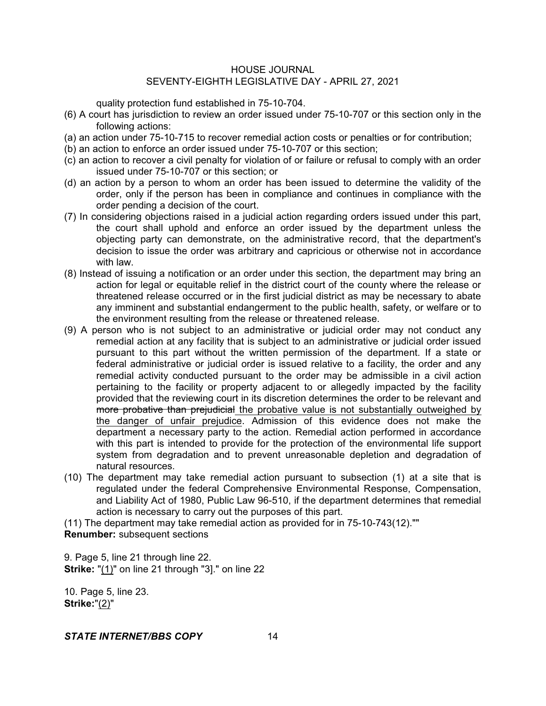quality protection fund established in 75-10-704.

- (6) A court has jurisdiction to review an order issued under 75-10-707 or this section only in the following actions:
- (a) an action under 75-10-715 to recover remedial action costs or penalties or for contribution;
- (b) an action to enforce an order issued under 75-10-707 or this section;
- (c) an action to recover a civil penalty for violation of or failure or refusal to comply with an order issued under 75-10-707 or this section; or
- (d) an action by a person to whom an order has been issued to determine the validity of the order, only if the person has been in compliance and continues in compliance with the order pending a decision of the court.
- (7) In considering objections raised in a judicial action regarding orders issued under this part, the court shall uphold and enforce an order issued by the department unless the objecting party can demonstrate, on the administrative record, that the department's decision to issue the order was arbitrary and capricious or otherwise not in accordance with law.
- (8) Instead of issuing a notification or an order under this section, the department may bring an action for legal or equitable relief in the district court of the county where the release or threatened release occurred or in the first judicial district as may be necessary to abate any imminent and substantial endangerment to the public health, safety, or welfare or to the environment resulting from the release or threatened release.
- (9) A person who is not subject to an administrative or judicial order may not conduct any remedial action at any facility that is subject to an administrative or judicial order issued pursuant to this part without the written permission of the department. If a state or federal administrative or judicial order is issued relative to a facility, the order and any remedial activity conducted pursuant to the order may be admissible in a civil action pertaining to the facility or property adjacent to or allegedly impacted by the facility provided that the reviewing court in its discretion determines the order to be relevant and more probative than prejudicial the probative value is not substantially outweighed by the danger of unfair prejudice. Admission of this evidence does not make the department a necessary party to the action. Remedial action performed in accordance with this part is intended to provide for the protection of the environmental life support system from degradation and to prevent unreasonable depletion and degradation of natural resources.
- (10) The department may take remedial action pursuant to subsection (1) at a site that is regulated under the federal Comprehensive Environmental Response, Compensation, and Liability Act of 1980, Public Law 96-510, if the department determines that remedial action is necessary to carry out the purposes of this part.

(11) The department may take remedial action as provided for in 75-10-743(12)."" **Renumber:** subsequent sections

9. Page 5, line 21 through line 22. **Strike:** "(1)" on line 21 through "3]." on line 22

10. Page 5, line 23. **Strike:**"(2)"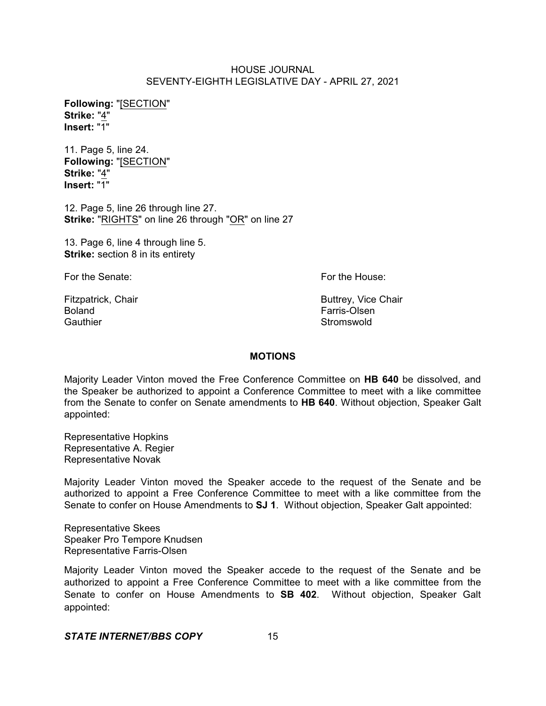**Following:** "[SECTION" **Strike:** "4" **Insert:** "1"

11. Page 5, line 24. **Following:** "[SECTION" **Strike:** "4" **Insert:** "1"

12. Page 5, line 26 through line 27. **Strike:** "RIGHTS" on line 26 through "OR" on line 27

13. Page 6, line 4 through line 5. **Strike:** section 8 in its entirety

For the Senate: **For the House:** For the House:

Boland Farris-Olsen Gauthier **Stromswold** 

Fitzpatrick, Chair **Buttrey, Vice Chair** Buttrey, Vice Chair

## **MOTIONS**

Majority Leader Vinton moved the Free Conference Committee on **HB 640** be dissolved, and the Speaker be authorized to appoint a Conference Committee to meet with a like committee from the Senate to confer on Senate amendments to **HB 640**. Without objection, Speaker Galt appointed:

Representative Hopkins Representative A. Regier Representative Novak

Majority Leader Vinton moved the Speaker accede to the request of the Senate and be authorized to appoint a Free Conference Committee to meet with a like committee from the Senate to confer on House Amendments to **SJ 1**. Without objection, Speaker Galt appointed:

Representative Skees Speaker Pro Tempore Knudsen Representative Farris-Olsen

Majority Leader Vinton moved the Speaker accede to the request of the Senate and be authorized to appoint a Free Conference Committee to meet with a like committee from the Senate to confer on House Amendments to **SB 402**. Without objection, Speaker Galt appointed: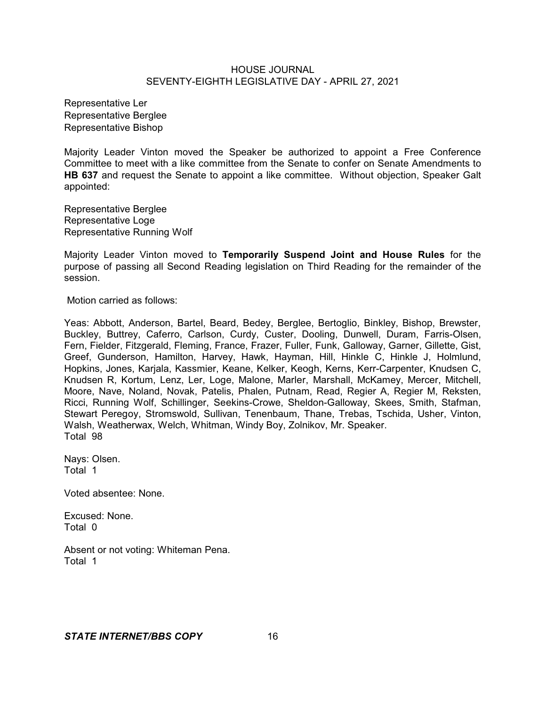Representative Ler Representative Berglee Representative Bishop

Majority Leader Vinton moved the Speaker be authorized to appoint a Free Conference Committee to meet with a like committee from the Senate to confer on Senate Amendments to **HB 637** and request the Senate to appoint a like committee. Without objection, Speaker Galt appointed:

Representative Berglee Representative Loge Representative Running Wolf

Majority Leader Vinton moved to **Temporarily Suspend Joint and House Rules** for the purpose of passing all Second Reading legislation on Third Reading for the remainder of the session.

Motion carried as follows:

Yeas: Abbott, Anderson, Bartel, Beard, Bedey, Berglee, Bertoglio, Binkley, Bishop, Brewster, Buckley, Buttrey, Caferro, Carlson, Curdy, Custer, Dooling, Dunwell, Duram, Farris-Olsen, Fern, Fielder, Fitzgerald, Fleming, France, Frazer, Fuller, Funk, Galloway, Garner, Gillette, Gist, Greef, Gunderson, Hamilton, Harvey, Hawk, Hayman, Hill, Hinkle C, Hinkle J, Holmlund, Hopkins, Jones, Karjala, Kassmier, Keane, Kelker, Keogh, Kerns, Kerr-Carpenter, Knudsen C, Knudsen R, Kortum, Lenz, Ler, Loge, Malone, Marler, Marshall, McKamey, Mercer, Mitchell, Moore, Nave, Noland, Novak, Patelis, Phalen, Putnam, Read, Regier A, Regier M, Reksten, Ricci, Running Wolf, Schillinger, Seekins-Crowe, Sheldon-Galloway, Skees, Smith, Stafman, Stewart Peregoy, Stromswold, Sullivan, Tenenbaum, Thane, Trebas, Tschida, Usher, Vinton, Walsh, Weatherwax, Welch, Whitman, Windy Boy, Zolnikov, Mr. Speaker. Total 98

Nays: Olsen. Total 1

Voted absentee: None.

Excused: None. Total 0

Absent or not voting: Whiteman Pena. Total 1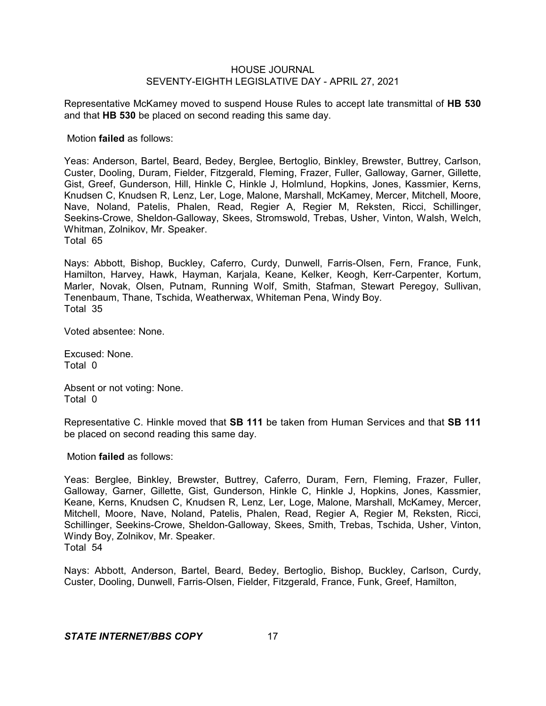Representative McKamey moved to suspend House Rules to accept late transmittal of **HB 530** and that **HB 530** be placed on second reading this same day.

Motion **failed** as follows:

Yeas: Anderson, Bartel, Beard, Bedey, Berglee, Bertoglio, Binkley, Brewster, Buttrey, Carlson, Custer, Dooling, Duram, Fielder, Fitzgerald, Fleming, Frazer, Fuller, Galloway, Garner, Gillette, Gist, Greef, Gunderson, Hill, Hinkle C, Hinkle J, Holmlund, Hopkins, Jones, Kassmier, Kerns, Knudsen C, Knudsen R, Lenz, Ler, Loge, Malone, Marshall, McKamey, Mercer, Mitchell, Moore, Nave, Noland, Patelis, Phalen, Read, Regier A, Regier M, Reksten, Ricci, Schillinger, Seekins-Crowe, Sheldon-Galloway, Skees, Stromswold, Trebas, Usher, Vinton, Walsh, Welch, Whitman, Zolnikov, Mr. Speaker.

Total 65

Nays: Abbott, Bishop, Buckley, Caferro, Curdy, Dunwell, Farris-Olsen, Fern, France, Funk, Hamilton, Harvey, Hawk, Hayman, Karjala, Keane, Kelker, Keogh, Kerr-Carpenter, Kortum, Marler, Novak, Olsen, Putnam, Running Wolf, Smith, Stafman, Stewart Peregoy, Sullivan, Tenenbaum, Thane, Tschida, Weatherwax, Whiteman Pena, Windy Boy. Total 35

Voted absentee: None.

Excused: None. Total 0

Absent or not voting: None. Total 0

Representative C. Hinkle moved that **SB 111** be taken from Human Services and that **SB 111** be placed on second reading this same day.

Motion **failed** as follows:

Yeas: Berglee, Binkley, Brewster, Buttrey, Caferro, Duram, Fern, Fleming, Frazer, Fuller, Galloway, Garner, Gillette, Gist, Gunderson, Hinkle C, Hinkle J, Hopkins, Jones, Kassmier, Keane, Kerns, Knudsen C, Knudsen R, Lenz, Ler, Loge, Malone, Marshall, McKamey, Mercer, Mitchell, Moore, Nave, Noland, Patelis, Phalen, Read, Regier A, Regier M, Reksten, Ricci, Schillinger, Seekins-Crowe, Sheldon-Galloway, Skees, Smith, Trebas, Tschida, Usher, Vinton, Windy Boy, Zolnikov, Mr. Speaker. Total 54

Nays: Abbott, Anderson, Bartel, Beard, Bedey, Bertoglio, Bishop, Buckley, Carlson, Curdy, Custer, Dooling, Dunwell, Farris-Olsen, Fielder, Fitzgerald, France, Funk, Greef, Hamilton,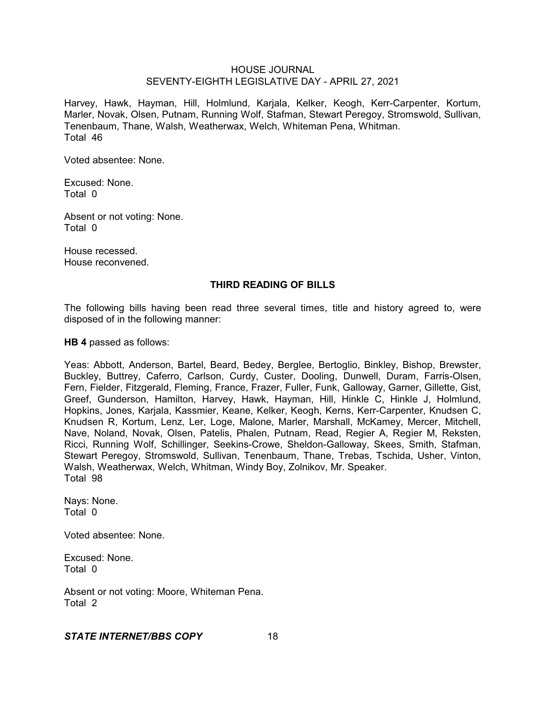Harvey, Hawk, Hayman, Hill, Holmlund, Karjala, Kelker, Keogh, Kerr-Carpenter, Kortum, Marler, Novak, Olsen, Putnam, Running Wolf, Stafman, Stewart Peregoy, Stromswold, Sullivan, Tenenbaum, Thane, Walsh, Weatherwax, Welch, Whiteman Pena, Whitman. Total 46

Voted absentee: None.

Excused: None. Total 0

Absent or not voting: None. Total 0

House recessed. House reconvened.

#### **THIRD READING OF BILLS**

The following bills having been read three several times, title and history agreed to, were disposed of in the following manner:

**HB 4** passed as follows:

Yeas: Abbott, Anderson, Bartel, Beard, Bedey, Berglee, Bertoglio, Binkley, Bishop, Brewster, Buckley, Buttrey, Caferro, Carlson, Curdy, Custer, Dooling, Dunwell, Duram, Farris-Olsen, Fern, Fielder, Fitzgerald, Fleming, France, Frazer, Fuller, Funk, Galloway, Garner, Gillette, Gist, Greef, Gunderson, Hamilton, Harvey, Hawk, Hayman, Hill, Hinkle C, Hinkle J, Holmlund, Hopkins, Jones, Karjala, Kassmier, Keane, Kelker, Keogh, Kerns, Kerr-Carpenter, Knudsen C, Knudsen R, Kortum, Lenz, Ler, Loge, Malone, Marler, Marshall, McKamey, Mercer, Mitchell, Nave, Noland, Novak, Olsen, Patelis, Phalen, Putnam, Read, Regier A, Regier M, Reksten, Ricci, Running Wolf, Schillinger, Seekins-Crowe, Sheldon-Galloway, Skees, Smith, Stafman, Stewart Peregoy, Stromswold, Sullivan, Tenenbaum, Thane, Trebas, Tschida, Usher, Vinton, Walsh, Weatherwax, Welch, Whitman, Windy Boy, Zolnikov, Mr. Speaker. Total 98

Nays: None. Total 0

Voted absentee: None.

Excused: None. Total 0

Absent or not voting: Moore, Whiteman Pena. Total 2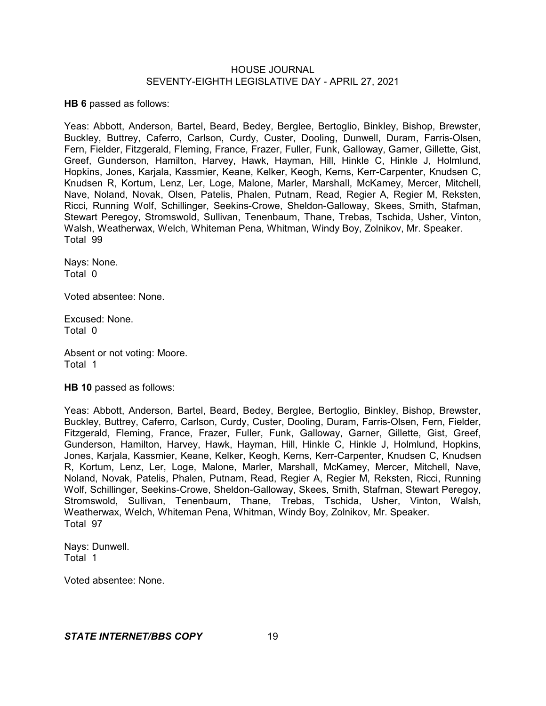**HB 6** passed as follows:

Yeas: Abbott, Anderson, Bartel, Beard, Bedey, Berglee, Bertoglio, Binkley, Bishop, Brewster, Buckley, Buttrey, Caferro, Carlson, Curdy, Custer, Dooling, Dunwell, Duram, Farris-Olsen, Fern, Fielder, Fitzgerald, Fleming, France, Frazer, Fuller, Funk, Galloway, Garner, Gillette, Gist, Greef, Gunderson, Hamilton, Harvey, Hawk, Hayman, Hill, Hinkle C, Hinkle J, Holmlund, Hopkins, Jones, Karjala, Kassmier, Keane, Kelker, Keogh, Kerns, Kerr-Carpenter, Knudsen C, Knudsen R, Kortum, Lenz, Ler, Loge, Malone, Marler, Marshall, McKamey, Mercer, Mitchell, Nave, Noland, Novak, Olsen, Patelis, Phalen, Putnam, Read, Regier A, Regier M, Reksten, Ricci, Running Wolf, Schillinger, Seekins-Crowe, Sheldon-Galloway, Skees, Smith, Stafman, Stewart Peregoy, Stromswold, Sullivan, Tenenbaum, Thane, Trebas, Tschida, Usher, Vinton, Walsh, Weatherwax, Welch, Whiteman Pena, Whitman, Windy Boy, Zolnikov, Mr. Speaker. Total 99

Nays: None. Total 0

Voted absentee: None.

Excused: None. Total 0

Absent or not voting: Moore. Total 1

**HB 10** passed as follows:

Yeas: Abbott, Anderson, Bartel, Beard, Bedey, Berglee, Bertoglio, Binkley, Bishop, Brewster, Buckley, Buttrey, Caferro, Carlson, Curdy, Custer, Dooling, Duram, Farris-Olsen, Fern, Fielder, Fitzgerald, Fleming, France, Frazer, Fuller, Funk, Galloway, Garner, Gillette, Gist, Greef, Gunderson, Hamilton, Harvey, Hawk, Hayman, Hill, Hinkle C, Hinkle J, Holmlund, Hopkins, Jones, Karjala, Kassmier, Keane, Kelker, Keogh, Kerns, Kerr-Carpenter, Knudsen C, Knudsen R, Kortum, Lenz, Ler, Loge, Malone, Marler, Marshall, McKamey, Mercer, Mitchell, Nave, Noland, Novak, Patelis, Phalen, Putnam, Read, Regier A, Regier M, Reksten, Ricci, Running Wolf, Schillinger, Seekins-Crowe, Sheldon-Galloway, Skees, Smith, Stafman, Stewart Peregoy, Stromswold, Sullivan, Tenenbaum, Thane, Trebas, Tschida, Usher, Vinton, Walsh, Weatherwax, Welch, Whiteman Pena, Whitman, Windy Boy, Zolnikov, Mr. Speaker. Total 97

Nays: Dunwell. Total 1

Voted absentee: None.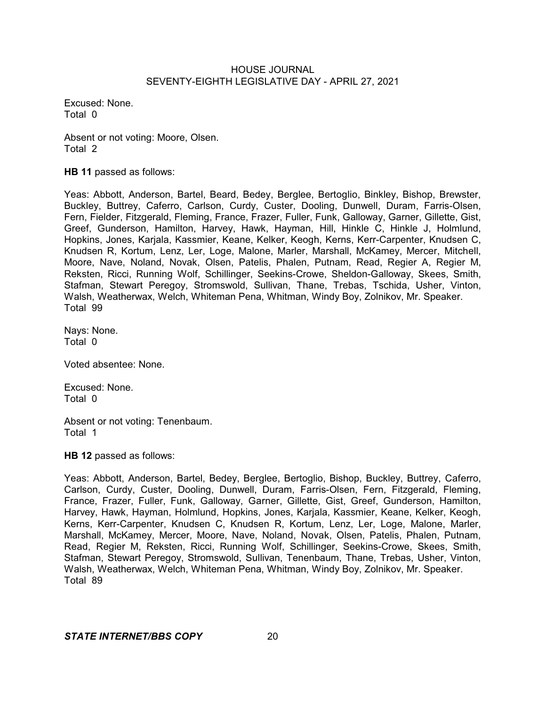Excused: None. Total 0

Absent or not voting: Moore, Olsen. Total 2

**HB 11** passed as follows:

Yeas: Abbott, Anderson, Bartel, Beard, Bedey, Berglee, Bertoglio, Binkley, Bishop, Brewster, Buckley, Buttrey, Caferro, Carlson, Curdy, Custer, Dooling, Dunwell, Duram, Farris-Olsen, Fern, Fielder, Fitzgerald, Fleming, France, Frazer, Fuller, Funk, Galloway, Garner, Gillette, Gist, Greef, Gunderson, Hamilton, Harvey, Hawk, Hayman, Hill, Hinkle C, Hinkle J, Holmlund, Hopkins, Jones, Karjala, Kassmier, Keane, Kelker, Keogh, Kerns, Kerr-Carpenter, Knudsen C, Knudsen R, Kortum, Lenz, Ler, Loge, Malone, Marler, Marshall, McKamey, Mercer, Mitchell, Moore, Nave, Noland, Novak, Olsen, Patelis, Phalen, Putnam, Read, Regier A, Regier M, Reksten, Ricci, Running Wolf, Schillinger, Seekins-Crowe, Sheldon-Galloway, Skees, Smith, Stafman, Stewart Peregoy, Stromswold, Sullivan, Thane, Trebas, Tschida, Usher, Vinton, Walsh, Weatherwax, Welch, Whiteman Pena, Whitman, Windy Boy, Zolnikov, Mr. Speaker. Total 99

Nays: None. Total 0

Voted absentee: None.

Excused: None. Total 0

Absent or not voting: Tenenbaum. Total 1

**HB 12** passed as follows:

Yeas: Abbott, Anderson, Bartel, Bedey, Berglee, Bertoglio, Bishop, Buckley, Buttrey, Caferro, Carlson, Curdy, Custer, Dooling, Dunwell, Duram, Farris-Olsen, Fern, Fitzgerald, Fleming, France, Frazer, Fuller, Funk, Galloway, Garner, Gillette, Gist, Greef, Gunderson, Hamilton, Harvey, Hawk, Hayman, Holmlund, Hopkins, Jones, Karjala, Kassmier, Keane, Kelker, Keogh, Kerns, Kerr-Carpenter, Knudsen C, Knudsen R, Kortum, Lenz, Ler, Loge, Malone, Marler, Marshall, McKamey, Mercer, Moore, Nave, Noland, Novak, Olsen, Patelis, Phalen, Putnam, Read, Regier M, Reksten, Ricci, Running Wolf, Schillinger, Seekins-Crowe, Skees, Smith, Stafman, Stewart Peregoy, Stromswold, Sullivan, Tenenbaum, Thane, Trebas, Usher, Vinton, Walsh, Weatherwax, Welch, Whiteman Pena, Whitman, Windy Boy, Zolnikov, Mr. Speaker. Total 89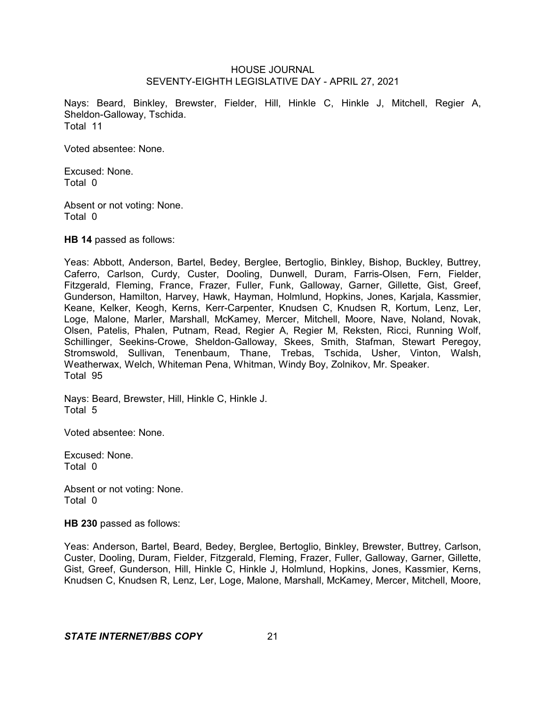Nays: Beard, Binkley, Brewster, Fielder, Hill, Hinkle C, Hinkle J, Mitchell, Regier A, Sheldon-Galloway, Tschida. Total 11

Voted absentee: None.

Excused: None. Total 0

Absent or not voting: None. Total 0

**HB 14** passed as follows:

Yeas: Abbott, Anderson, Bartel, Bedey, Berglee, Bertoglio, Binkley, Bishop, Buckley, Buttrey, Caferro, Carlson, Curdy, Custer, Dooling, Dunwell, Duram, Farris-Olsen, Fern, Fielder, Fitzgerald, Fleming, France, Frazer, Fuller, Funk, Galloway, Garner, Gillette, Gist, Greef, Gunderson, Hamilton, Harvey, Hawk, Hayman, Holmlund, Hopkins, Jones, Karjala, Kassmier, Keane, Kelker, Keogh, Kerns, Kerr-Carpenter, Knudsen C, Knudsen R, Kortum, Lenz, Ler, Loge, Malone, Marler, Marshall, McKamey, Mercer, Mitchell, Moore, Nave, Noland, Novak, Olsen, Patelis, Phalen, Putnam, Read, Regier A, Regier M, Reksten, Ricci, Running Wolf, Schillinger, Seekins-Crowe, Sheldon-Galloway, Skees, Smith, Stafman, Stewart Peregoy, Stromswold, Sullivan, Tenenbaum, Thane, Trebas, Tschida, Usher, Vinton, Walsh, Weatherwax, Welch, Whiteman Pena, Whitman, Windy Boy, Zolnikov, Mr. Speaker. Total 95

Nays: Beard, Brewster, Hill, Hinkle C, Hinkle J. Total 5

Voted absentee: None.

Excused: None. Total 0

Absent or not voting: None. Total 0

**HB 230** passed as follows:

Yeas: Anderson, Bartel, Beard, Bedey, Berglee, Bertoglio, Binkley, Brewster, Buttrey, Carlson, Custer, Dooling, Duram, Fielder, Fitzgerald, Fleming, Frazer, Fuller, Galloway, Garner, Gillette, Gist, Greef, Gunderson, Hill, Hinkle C, Hinkle J, Holmlund, Hopkins, Jones, Kassmier, Kerns, Knudsen C, Knudsen R, Lenz, Ler, Loge, Malone, Marshall, McKamey, Mercer, Mitchell, Moore,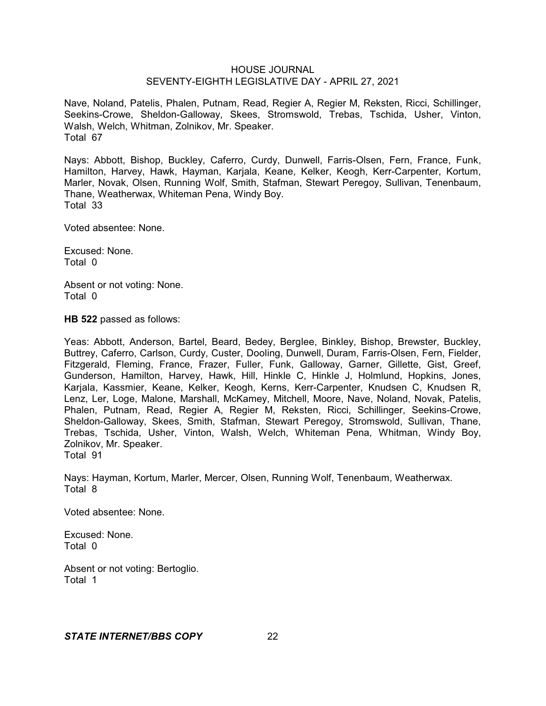Nave, Noland, Patelis, Phalen, Putnam, Read, Regier A, Regier M, Reksten, Ricci, Schillinger, Seekins-Crowe, Sheldon-Galloway, Skees, Stromswold, Trebas, Tschida, Usher, Vinton, Walsh, Welch, Whitman, Zolnikov, Mr. Speaker. Total 67

Nays: Abbott, Bishop, Buckley, Caferro, Curdy, Dunwell, Farris-Olsen, Fern, France, Funk, Hamilton, Harvey, Hawk, Hayman, Karjala, Keane, Kelker, Keogh, Kerr-Carpenter, Kortum, Marler, Novak, Olsen, Running Wolf, Smith, Stafman, Stewart Peregoy, Sullivan, Tenenbaum, Thane, Weatherwax, Whiteman Pena, Windy Boy. Total 33

Voted absentee: None.

Excused: None. Total 0

Absent or not voting: None. Total 0

**HB 522** passed as follows:

Yeas: Abbott, Anderson, Bartel, Beard, Bedey, Berglee, Binkley, Bishop, Brewster, Buckley, Buttrey, Caferro, Carlson, Curdy, Custer, Dooling, Dunwell, Duram, Farris-Olsen, Fern, Fielder, Fitzgerald, Fleming, France, Frazer, Fuller, Funk, Galloway, Garner, Gillette, Gist, Greef, Gunderson, Hamilton, Harvey, Hawk, Hill, Hinkle C, Hinkle J, Holmlund, Hopkins, Jones, Karjala, Kassmier, Keane, Kelker, Keogh, Kerns, Kerr-Carpenter, Knudsen C, Knudsen R, Lenz, Ler, Loge, Malone, Marshall, McKamey, Mitchell, Moore, Nave, Noland, Novak, Patelis, Phalen, Putnam, Read, Regier A, Regier M, Reksten, Ricci, Schillinger, Seekins-Crowe, Sheldon-Galloway, Skees, Smith, Stafman, Stewart Peregoy, Stromswold, Sullivan, Thane, Trebas, Tschida, Usher, Vinton, Walsh, Welch, Whiteman Pena, Whitman, Windy Boy, Zolnikov, Mr. Speaker. Total 91

Nays: Hayman, Kortum, Marler, Mercer, Olsen, Running Wolf, Tenenbaum, Weatherwax. Total 8

Voted absentee: None.

Excused: None. Total 0

Absent or not voting: Bertoglio. Total 1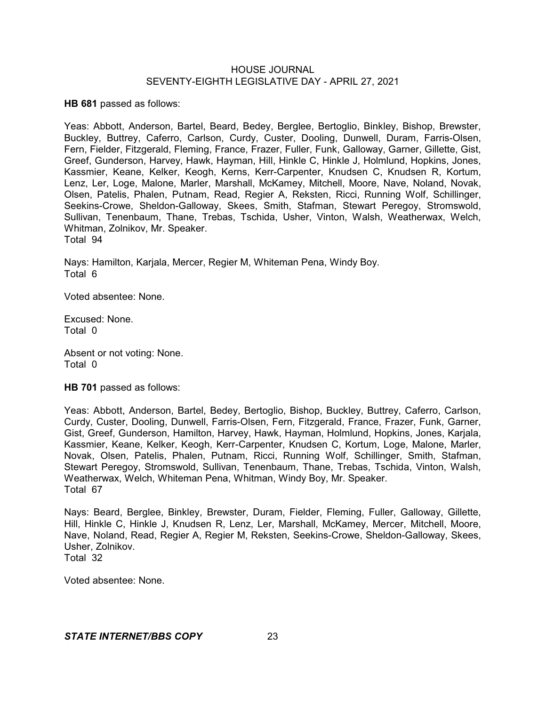**HB 681** passed as follows:

Yeas: Abbott, Anderson, Bartel, Beard, Bedey, Berglee, Bertoglio, Binkley, Bishop, Brewster, Buckley, Buttrey, Caferro, Carlson, Curdy, Custer, Dooling, Dunwell, Duram, Farris-Olsen, Fern, Fielder, Fitzgerald, Fleming, France, Frazer, Fuller, Funk, Galloway, Garner, Gillette, Gist, Greef, Gunderson, Harvey, Hawk, Hayman, Hill, Hinkle C, Hinkle J, Holmlund, Hopkins, Jones, Kassmier, Keane, Kelker, Keogh, Kerns, Kerr-Carpenter, Knudsen C, Knudsen R, Kortum, Lenz, Ler, Loge, Malone, Marler, Marshall, McKamey, Mitchell, Moore, Nave, Noland, Novak, Olsen, Patelis, Phalen, Putnam, Read, Regier A, Reksten, Ricci, Running Wolf, Schillinger, Seekins-Crowe, Sheldon-Galloway, Skees, Smith, Stafman, Stewart Peregoy, Stromswold, Sullivan, Tenenbaum, Thane, Trebas, Tschida, Usher, Vinton, Walsh, Weatherwax, Welch, Whitman, Zolnikov, Mr. Speaker. Total 94

Nays: Hamilton, Karjala, Mercer, Regier M, Whiteman Pena, Windy Boy. Total 6

Voted absentee: None.

Excused: None. Total 0

Absent or not voting: None. Total 0

**HB 701** passed as follows:

Yeas: Abbott, Anderson, Bartel, Bedey, Bertoglio, Bishop, Buckley, Buttrey, Caferro, Carlson, Curdy, Custer, Dooling, Dunwell, Farris-Olsen, Fern, Fitzgerald, France, Frazer, Funk, Garner, Gist, Greef, Gunderson, Hamilton, Harvey, Hawk, Hayman, Holmlund, Hopkins, Jones, Karjala, Kassmier, Keane, Kelker, Keogh, Kerr-Carpenter, Knudsen C, Kortum, Loge, Malone, Marler, Novak, Olsen, Patelis, Phalen, Putnam, Ricci, Running Wolf, Schillinger, Smith, Stafman, Stewart Peregoy, Stromswold, Sullivan, Tenenbaum, Thane, Trebas, Tschida, Vinton, Walsh, Weatherwax, Welch, Whiteman Pena, Whitman, Windy Boy, Mr. Speaker. Total 67

Nays: Beard, Berglee, Binkley, Brewster, Duram, Fielder, Fleming, Fuller, Galloway, Gillette, Hill, Hinkle C, Hinkle J, Knudsen R, Lenz, Ler, Marshall, McKamey, Mercer, Mitchell, Moore, Nave, Noland, Read, Regier A, Regier M, Reksten, Seekins-Crowe, Sheldon-Galloway, Skees, Usher, Zolnikov. Total 32

Voted absentee: None.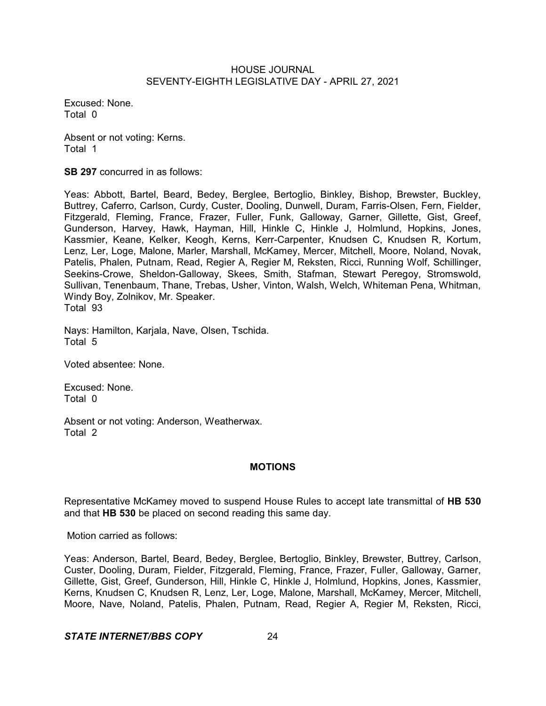Excused: None. Total 0

Absent or not voting: Kerns. Total 1

**SB 297** concurred in as follows:

Yeas: Abbott, Bartel, Beard, Bedey, Berglee, Bertoglio, Binkley, Bishop, Brewster, Buckley, Buttrey, Caferro, Carlson, Curdy, Custer, Dooling, Dunwell, Duram, Farris-Olsen, Fern, Fielder, Fitzgerald, Fleming, France, Frazer, Fuller, Funk, Galloway, Garner, Gillette, Gist, Greef, Gunderson, Harvey, Hawk, Hayman, Hill, Hinkle C, Hinkle J, Holmlund, Hopkins, Jones, Kassmier, Keane, Kelker, Keogh, Kerns, Kerr-Carpenter, Knudsen C, Knudsen R, Kortum, Lenz, Ler, Loge, Malone, Marler, Marshall, McKamey, Mercer, Mitchell, Moore, Noland, Novak, Patelis, Phalen, Putnam, Read, Regier A, Regier M, Reksten, Ricci, Running Wolf, Schillinger, Seekins-Crowe, Sheldon-Galloway, Skees, Smith, Stafman, Stewart Peregoy, Stromswold, Sullivan, Tenenbaum, Thane, Trebas, Usher, Vinton, Walsh, Welch, Whiteman Pena, Whitman, Windy Boy, Zolnikov, Mr. Speaker. Total 93

Nays: Hamilton, Karjala, Nave, Olsen, Tschida. Total 5

Voted absentee: None.

Excused: None. Total 0

Absent or not voting: Anderson, Weatherwax. Total 2

# **MOTIONS**

Representative McKamey moved to suspend House Rules to accept late transmittal of **HB 530** and that **HB 530** be placed on second reading this same day.

Motion carried as follows:

Yeas: Anderson, Bartel, Beard, Bedey, Berglee, Bertoglio, Binkley, Brewster, Buttrey, Carlson, Custer, Dooling, Duram, Fielder, Fitzgerald, Fleming, France, Frazer, Fuller, Galloway, Garner, Gillette, Gist, Greef, Gunderson, Hill, Hinkle C, Hinkle J, Holmlund, Hopkins, Jones, Kassmier, Kerns, Knudsen C, Knudsen R, Lenz, Ler, Loge, Malone, Marshall, McKamey, Mercer, Mitchell, Moore, Nave, Noland, Patelis, Phalen, Putnam, Read, Regier A, Regier M, Reksten, Ricci,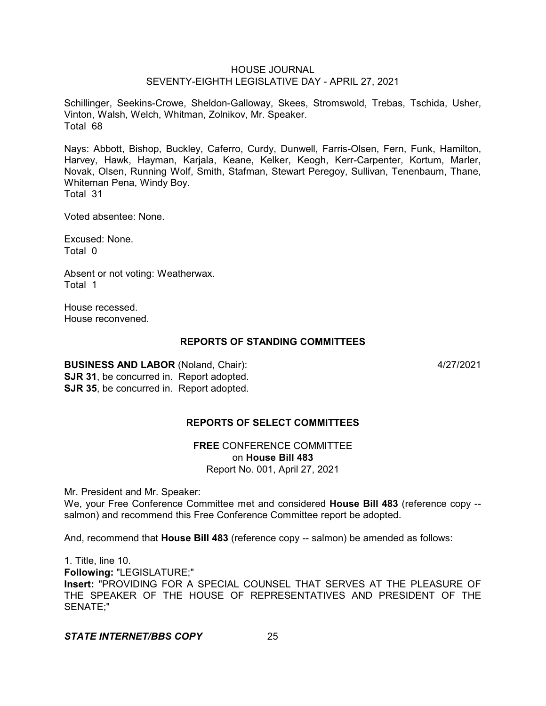Schillinger, Seekins-Crowe, Sheldon-Galloway, Skees, Stromswold, Trebas, Tschida, Usher, Vinton, Walsh, Welch, Whitman, Zolnikov, Mr. Speaker. Total 68

Nays: Abbott, Bishop, Buckley, Caferro, Curdy, Dunwell, Farris-Olsen, Fern, Funk, Hamilton, Harvey, Hawk, Hayman, Karjala, Keane, Kelker, Keogh, Kerr-Carpenter, Kortum, Marler, Novak, Olsen, Running Wolf, Smith, Stafman, Stewart Peregoy, Sullivan, Tenenbaum, Thane, Whiteman Pena, Windy Boy. Total 31

Voted absentee: None.

Excused: None. Total 0

Absent or not voting: Weatherwax. Total 1

House recessed. House reconvened.

## **REPORTS OF STANDING COMMITTEES**

**BUSINESS AND LABOR** (Noland, Chair): 4/27/2021 **SJR 31**, be concurred in. Report adopted. **SJR 35.** be concurred in. Report adopted.

# **REPORTS OF SELECT COMMITTEES**

**FREE** CONFERENCE COMMITTEE on **House Bill 483** Report No. 001, April 27, 2021

Mr. President and Mr. Speaker:

We, your Free Conference Committee met and considered **House Bill 483** (reference copy - salmon) and recommend this Free Conference Committee report be adopted.

And, recommend that **House Bill 483** (reference copy -- salmon) be amended as follows:

1. Title, line 10. **Following:** "LEGISLATURE;" **Insert:** "PROVIDING FOR A SPECIAL COUNSEL THAT SERVES AT THE PLEASURE OF THE SPEAKER OF THE HOUSE OF REPRESENTATIVES AND PRESIDENT OF THE SENATE;"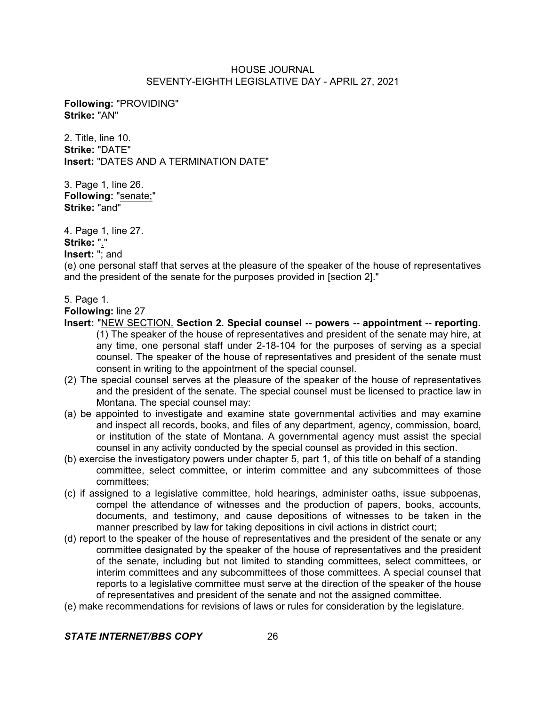**Following:** "PROVIDING" **Strike:** "AN"

2. Title, line 10. **Strike:** "DATE" **Insert:** "DATES AND A TERMINATION DATE"

3. Page 1, line 26. **Following:** "senate;" **Strike:** "and"

4. Page 1, line 27. **Strike:** "."

**Insert:** "; and

(e) one personal staff that serves at the pleasure of the speaker of the house of representatives and the president of the senate for the purposes provided in [section 2]."

5. Page 1.

**Following:** line 27

- **Insert:** "NEW SECTION. **Section 2. Special counsel -- powers -- appointment -- reporting.** (1) The speaker of the house of representatives and president of the senate may hire, at any time, one personal staff under 2-18-104 for the purposes of serving as a special counsel. The speaker of the house of representatives and president of the senate must consent in writing to the appointment of the special counsel.
- (2) The special counsel serves at the pleasure of the speaker of the house of representatives and the president of the senate. The special counsel must be licensed to practice law in Montana. The special counsel may:
- (a) be appointed to investigate and examine state governmental activities and may examine and inspect all records, books, and files of any department, agency, commission, board, or institution of the state of Montana. A governmental agency must assist the special counsel in any activity conducted by the special counsel as provided in this section.
- (b) exercise the investigatory powers under chapter 5, part 1, of this title on behalf of a standing committee, select committee, or interim committee and any subcommittees of those committees;
- (c) if assigned to a legislative committee, hold hearings, administer oaths, issue subpoenas, compel the attendance of witnesses and the production of papers, books, accounts, documents, and testimony, and cause depositions of witnesses to be taken in the manner prescribed by law for taking depositions in civil actions in district court;
- (d) report to the speaker of the house of representatives and the president of the senate or any committee designated by the speaker of the house of representatives and the president of the senate, including but not limited to standing committees, select committees, or interim committees and any subcommittees of those committees. A special counsel that reports to a legislative committee must serve at the direction of the speaker of the house of representatives and president of the senate and not the assigned committee.
- (e) make recommendations for revisions of laws or rules for consideration by the legislature.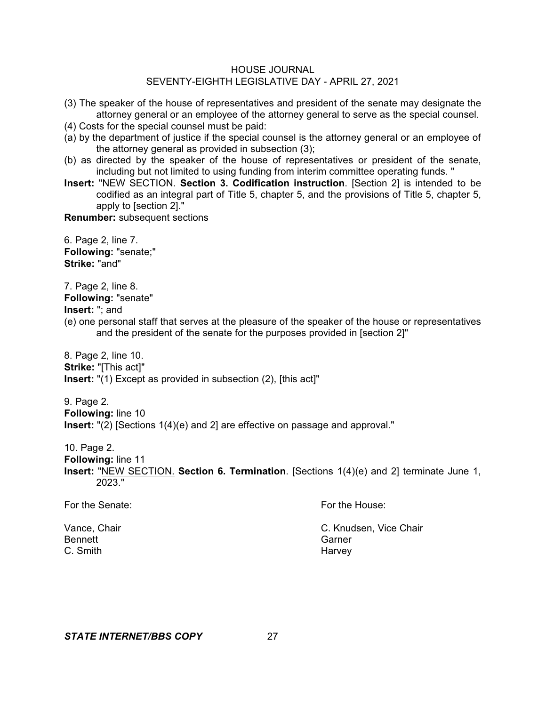- (3) The speaker of the house of representatives and president of the senate may designate the attorney general or an employee of the attorney general to serve as the special counsel.
- (4) Costs for the special counsel must be paid:
- (a) by the department of justice if the special counsel is the attorney general or an employee of the attorney general as provided in subsection (3);
- (b) as directed by the speaker of the house of representatives or president of the senate, including but not limited to using funding from interim committee operating funds. "
- **Insert:** "NEW SECTION. **Section 3. Codification instruction**. [Section 2] is intended to be codified as an integral part of Title 5, chapter 5, and the provisions of Title 5, chapter 5, apply to [section 2]."

**Renumber:** subsequent sections

6. Page 2, line 7. **Following:** "senate;" **Strike:** "and"

7. Page 2, line 8. **Following:** "senate"

**Insert:** "; and

(e) one personal staff that serves at the pleasure of the speaker of the house or representatives and the president of the senate for the purposes provided in [section 2]"

8. Page 2, line 10. **Strike:** "[This act]" **Insert:** "(1) Except as provided in subsection (2), [this act]"

9. Page 2. **Following:** line 10 **Insert:** "(2) [Sections 1(4)(e) and 2] are effective on passage and approval."

10. Page 2.

**Following:** line 11

**Insert:** "NEW SECTION. **Section 6. Termination**. [Sections 1(4)(e) and 2] terminate June 1, 2023."

| For the Senate:            | For the House:                   |
|----------------------------|----------------------------------|
| Vance, Chair               | C. Knudsen, Vice Chair<br>Garner |
| <b>Bennett</b><br>C. Smith |                                  |
|                            | Harvey                           |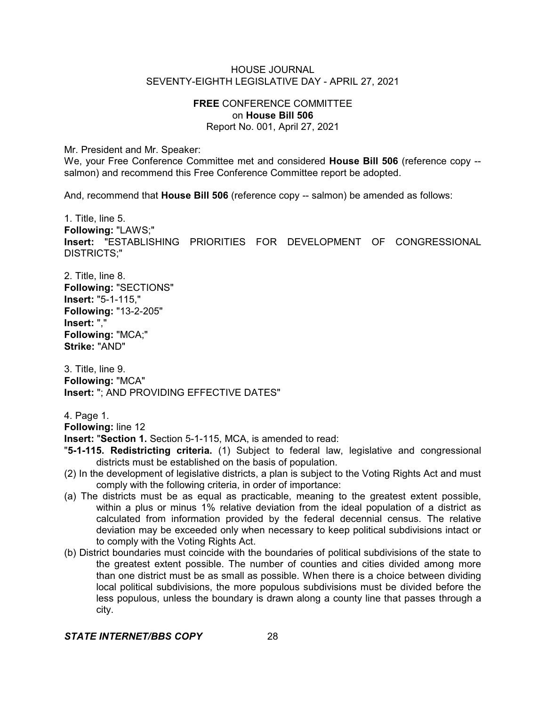## **FREE** CONFERENCE COMMITTEE on **House Bill 506** Report No. 001, April 27, 2021

Mr. President and Mr. Speaker:

We, your Free Conference Committee met and considered **House Bill 506** (reference copy - salmon) and recommend this Free Conference Committee report be adopted.

And, recommend that **House Bill 506** (reference copy -- salmon) be amended as follows:

1. Title, line 5. **Following:** "LAWS;" **Insert:** "ESTABLISHING PRIORITIES FOR DEVELOPMENT OF CONGRESSIONAL DISTRICTS;"

2. Title, line 8. **Following:** "SECTIONS" **Insert:** "5-1-115," **Following:** "13-2-205" **Insert:** "," **Following:** "MCA;" **Strike:** "AND"

3. Title, line 9. **Following:** "MCA" **Insert:** "; AND PROVIDING EFFECTIVE DATES"

4. Page 1.

**Following:** line 12

**Insert:** "**Section 1.** Section 5-1-115, MCA, is amended to read:

- "**5-1-115. Redistricting criteria.** (1) Subject to federal law, legislative and congressional districts must be established on the basis of population.
- (2) In the development of legislative districts, a plan is subject to the Voting Rights Act and must comply with the following criteria, in order of importance:
- (a) The districts must be as equal as practicable, meaning to the greatest extent possible, within a plus or minus 1% relative deviation from the ideal population of a district as calculated from information provided by the federal decennial census. The relative deviation may be exceeded only when necessary to keep political subdivisions intact or to comply with the Voting Rights Act.
- (b) District boundaries must coincide with the boundaries of political subdivisions of the state to the greatest extent possible. The number of counties and cities divided among more than one district must be as small as possible. When there is a choice between dividing local political subdivisions, the more populous subdivisions must be divided before the less populous, unless the boundary is drawn along a county line that passes through a city.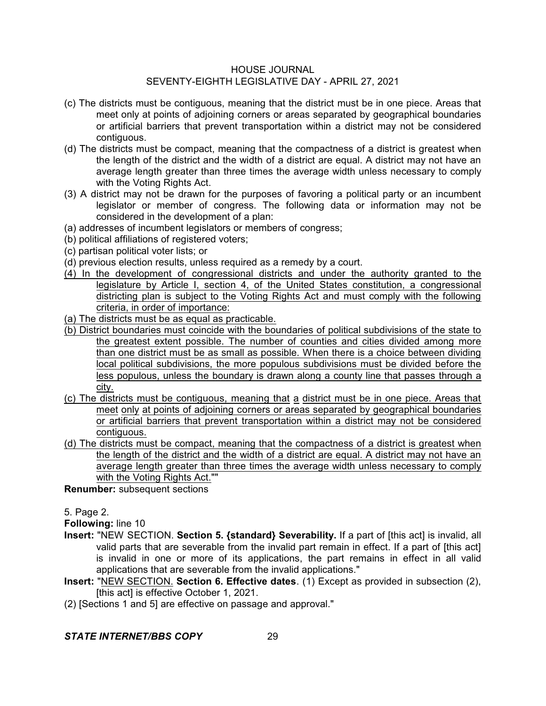- (c) The districts must be contiguous, meaning that the district must be in one piece. Areas that meet only at points of adjoining corners or areas separated by geographical boundaries or artificial barriers that prevent transportation within a district may not be considered contiguous.
- (d) The districts must be compact, meaning that the compactness of a district is greatest when the length of the district and the width of a district are equal. A district may not have an average length greater than three times the average width unless necessary to comply with the Voting Rights Act.
- (3) A district may not be drawn for the purposes of favoring a political party or an incumbent legislator or member of congress. The following data or information may not be considered in the development of a plan:
- (a) addresses of incumbent legislators or members of congress;
- (b) political affiliations of registered voters;
- (c) partisan political voter lists; or
- (d) previous election results, unless required as a remedy by a court.
- (4) In the development of congressional districts and under the authority granted to the legislature by Article I, section 4, of the United States constitution, a congressional districting plan is subject to the Voting Rights Act and must comply with the following criteria, in order of importance:
- (a) The districts must be as equal as practicable.
- (b) District boundaries must coincide with the boundaries of political subdivisions of the state to the greatest extent possible. The number of counties and cities divided among more than one district must be as small as possible. When there is a choice between dividing local political subdivisions, the more populous subdivisions must be divided before the less populous, unless the boundary is drawn along a county line that passes through a city.
- (c) The districts must be contiguous, meaning that a district must be in one piece. Areas that meet only at points of adjoining corners or areas separated by geographical boundaries or artificial barriers that prevent transportation within a district may not be considered contiguous.
- (d) The districts must be compact, meaning that the compactness of a district is greatest when the length of the district and the width of a district are equal. A district may not have an average length greater than three times the average width unless necessary to comply with the Voting Rights Act.""

**Renumber:** subsequent sections

5. Page 2.

**Following:** line 10

- **Insert:** "NEW SECTION. **Section 5. {standard} Severability.** If a part of [this act] is invalid, all valid parts that are severable from the invalid part remain in effect. If a part of [this act] is invalid in one or more of its applications, the part remains in effect in all valid applications that are severable from the invalid applications."
- **Insert:** "NEW SECTION. **Section 6. Effective dates**. (1) Except as provided in subsection (2), [this act] is effective October 1, 2021.
- (2) [Sections 1 and 5] are effective on passage and approval."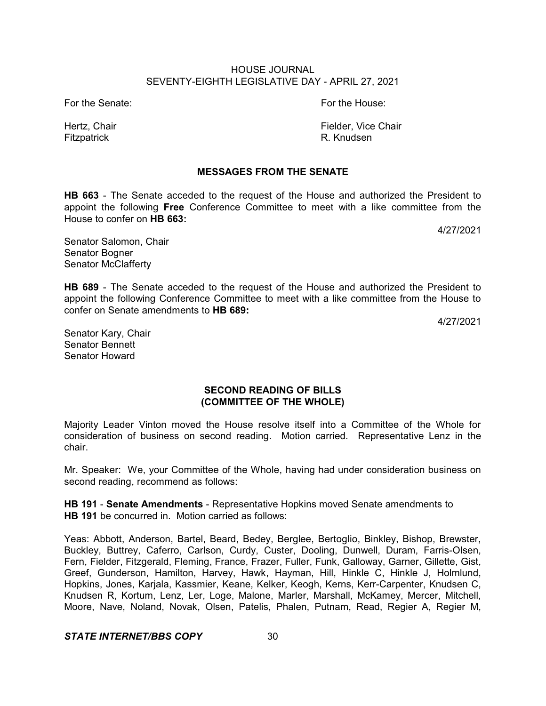For the Senate: The Senate: For the House:

Hertz, Chair Fielder, Vice Chair Fielder, Vice Chair Fitzpatrick **R. Knudsen** 

## **MESSAGES FROM THE SENATE**

**HB 663** - The Senate acceded to the request of the House and authorized the President to appoint the following **Free** Conference Committee to meet with a like committee from the House to confer on **HB 663:**

4/27/2021

Senator Salomon, Chair Senator Bogner Senator McClafferty

**HB 689** - The Senate acceded to the request of the House and authorized the President to appoint the following Conference Committee to meet with a like committee from the House to confer on Senate amendments to **HB 689:**

4/27/2021

Senator Kary, Chair Senator Bennett Senator Howard

## **SECOND READING OF BILLS (COMMITTEE OF THE WHOLE)**

Majority Leader Vinton moved the House resolve itself into a Committee of the Whole for consideration of business on second reading. Motion carried. Representative Lenz in the chair.

Mr. Speaker: We, your Committee of the Whole, having had under consideration business on second reading, recommend as follows:

**HB 191** - **Senate Amendments** - Representative Hopkins moved Senate amendments to **HB 191** be concurred in. Motion carried as follows:

Yeas: Abbott, Anderson, Bartel, Beard, Bedey, Berglee, Bertoglio, Binkley, Bishop, Brewster, Buckley, Buttrey, Caferro, Carlson, Curdy, Custer, Dooling, Dunwell, Duram, Farris-Olsen, Fern, Fielder, Fitzgerald, Fleming, France, Frazer, Fuller, Funk, Galloway, Garner, Gillette, Gist, Greef, Gunderson, Hamilton, Harvey, Hawk, Hayman, Hill, Hinkle C, Hinkle J, Holmlund, Hopkins, Jones, Karjala, Kassmier, Keane, Kelker, Keogh, Kerns, Kerr-Carpenter, Knudsen C, Knudsen R, Kortum, Lenz, Ler, Loge, Malone, Marler, Marshall, McKamey, Mercer, Mitchell, Moore, Nave, Noland, Novak, Olsen, Patelis, Phalen, Putnam, Read, Regier A, Regier M,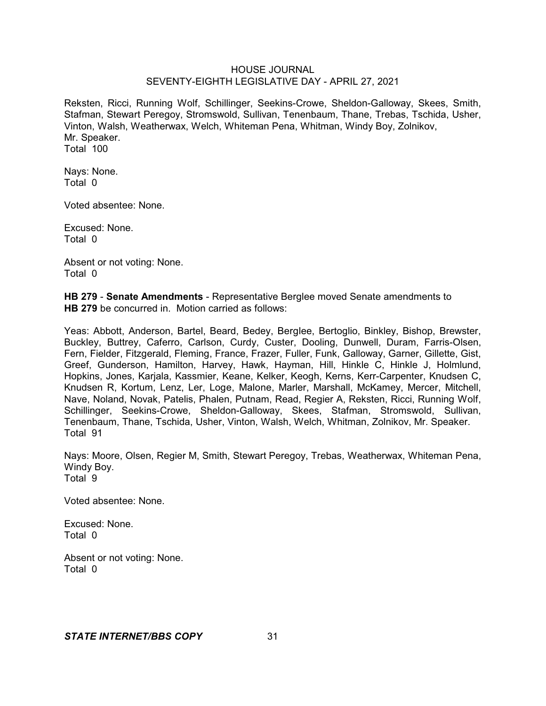Reksten, Ricci, Running Wolf, Schillinger, Seekins-Crowe, Sheldon-Galloway, Skees, Smith, Stafman, Stewart Peregoy, Stromswold, Sullivan, Tenenbaum, Thane, Trebas, Tschida, Usher, Vinton, Walsh, Weatherwax, Welch, Whiteman Pena, Whitman, Windy Boy, Zolnikov, Mr. Speaker. Total 100

Nays: None. Total 0

Voted absentee: None.

Excused: None. Total 0

Absent or not voting: None. Total 0

**HB 279** - **Senate Amendments** - Representative Berglee moved Senate amendments to **HB 279** be concurred in. Motion carried as follows:

Yeas: Abbott, Anderson, Bartel, Beard, Bedey, Berglee, Bertoglio, Binkley, Bishop, Brewster, Buckley, Buttrey, Caferro, Carlson, Curdy, Custer, Dooling, Dunwell, Duram, Farris-Olsen, Fern, Fielder, Fitzgerald, Fleming, France, Frazer, Fuller, Funk, Galloway, Garner, Gillette, Gist, Greef, Gunderson, Hamilton, Harvey, Hawk, Hayman, Hill, Hinkle C, Hinkle J, Holmlund, Hopkins, Jones, Karjala, Kassmier, Keane, Kelker, Keogh, Kerns, Kerr-Carpenter, Knudsen C, Knudsen R, Kortum, Lenz, Ler, Loge, Malone, Marler, Marshall, McKamey, Mercer, Mitchell, Nave, Noland, Novak, Patelis, Phalen, Putnam, Read, Regier A, Reksten, Ricci, Running Wolf, Schillinger, Seekins-Crowe, Sheldon-Galloway, Skees, Stafman, Stromswold, Sullivan, Tenenbaum, Thane, Tschida, Usher, Vinton, Walsh, Welch, Whitman, Zolnikov, Mr. Speaker. Total 91

Nays: Moore, Olsen, Regier M, Smith, Stewart Peregoy, Trebas, Weatherwax, Whiteman Pena, Windy Boy. Total 9

Voted absentee: None.

Excused: None. Total 0

Absent or not voting: None. Total 0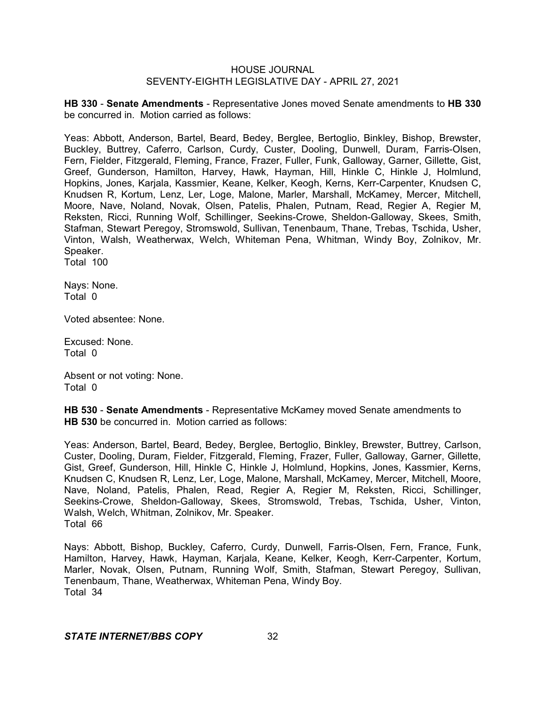**HB 330** - **Senate Amendments** - Representative Jones moved Senate amendments to **HB 330** be concurred in. Motion carried as follows:

Yeas: Abbott, Anderson, Bartel, Beard, Bedey, Berglee, Bertoglio, Binkley, Bishop, Brewster, Buckley, Buttrey, Caferro, Carlson, Curdy, Custer, Dooling, Dunwell, Duram, Farris-Olsen, Fern, Fielder, Fitzgerald, Fleming, France, Frazer, Fuller, Funk, Galloway, Garner, Gillette, Gist, Greef, Gunderson, Hamilton, Harvey, Hawk, Hayman, Hill, Hinkle C, Hinkle J, Holmlund, Hopkins, Jones, Karjala, Kassmier, Keane, Kelker, Keogh, Kerns, Kerr-Carpenter, Knudsen C, Knudsen R, Kortum, Lenz, Ler, Loge, Malone, Marler, Marshall, McKamey, Mercer, Mitchell, Moore, Nave, Noland, Novak, Olsen, Patelis, Phalen, Putnam, Read, Regier A, Regier M, Reksten, Ricci, Running Wolf, Schillinger, Seekins-Crowe, Sheldon-Galloway, Skees, Smith, Stafman, Stewart Peregoy, Stromswold, Sullivan, Tenenbaum, Thane, Trebas, Tschida, Usher, Vinton, Walsh, Weatherwax, Welch, Whiteman Pena, Whitman, Windy Boy, Zolnikov, Mr. Speaker.

Total 100

Nays: None. Total 0

Voted absentee: None.

Excused: None. Total 0

Absent or not voting: None. Total 0

**HB 530** - **Senate Amendments** - Representative McKamey moved Senate amendments to **HB 530** be concurred in. Motion carried as follows:

Yeas: Anderson, Bartel, Beard, Bedey, Berglee, Bertoglio, Binkley, Brewster, Buttrey, Carlson, Custer, Dooling, Duram, Fielder, Fitzgerald, Fleming, Frazer, Fuller, Galloway, Garner, Gillette, Gist, Greef, Gunderson, Hill, Hinkle C, Hinkle J, Holmlund, Hopkins, Jones, Kassmier, Kerns, Knudsen C, Knudsen R, Lenz, Ler, Loge, Malone, Marshall, McKamey, Mercer, Mitchell, Moore, Nave, Noland, Patelis, Phalen, Read, Regier A, Regier M, Reksten, Ricci, Schillinger, Seekins-Crowe, Sheldon-Galloway, Skees, Stromswold, Trebas, Tschida, Usher, Vinton, Walsh, Welch, Whitman, Zolnikov, Mr. Speaker. Total 66

Nays: Abbott, Bishop, Buckley, Caferro, Curdy, Dunwell, Farris-Olsen, Fern, France, Funk, Hamilton, Harvey, Hawk, Hayman, Karjala, Keane, Kelker, Keogh, Kerr-Carpenter, Kortum, Marler, Novak, Olsen, Putnam, Running Wolf, Smith, Stafman, Stewart Peregoy, Sullivan, Tenenbaum, Thane, Weatherwax, Whiteman Pena, Windy Boy. Total 34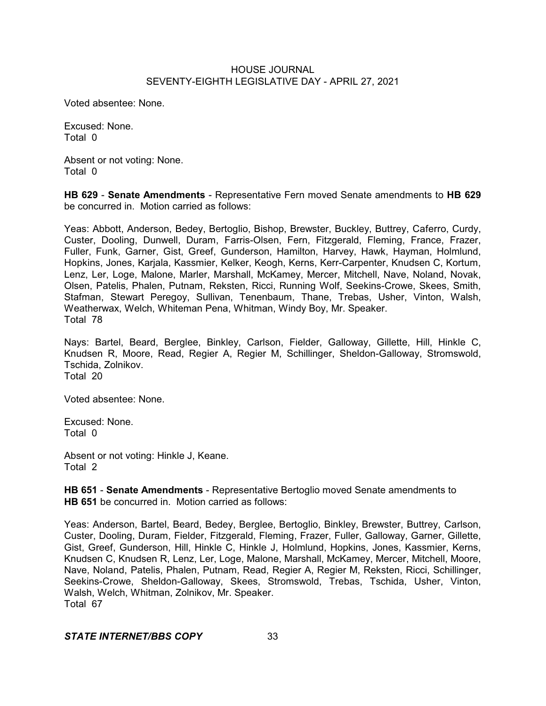Voted absentee: None.

Excused: None. Total 0

Absent or not voting: None. Total 0

**HB 629** - **Senate Amendments** - Representative Fern moved Senate amendments to **HB 629** be concurred in. Motion carried as follows:

Yeas: Abbott, Anderson, Bedey, Bertoglio, Bishop, Brewster, Buckley, Buttrey, Caferro, Curdy, Custer, Dooling, Dunwell, Duram, Farris-Olsen, Fern, Fitzgerald, Fleming, France, Frazer, Fuller, Funk, Garner, Gist, Greef, Gunderson, Hamilton, Harvey, Hawk, Hayman, Holmlund, Hopkins, Jones, Karjala, Kassmier, Kelker, Keogh, Kerns, Kerr-Carpenter, Knudsen C, Kortum, Lenz, Ler, Loge, Malone, Marler, Marshall, McKamey, Mercer, Mitchell, Nave, Noland, Novak, Olsen, Patelis, Phalen, Putnam, Reksten, Ricci, Running Wolf, Seekins-Crowe, Skees, Smith, Stafman, Stewart Peregoy, Sullivan, Tenenbaum, Thane, Trebas, Usher, Vinton, Walsh, Weatherwax, Welch, Whiteman Pena, Whitman, Windy Boy, Mr. Speaker. Total 78

Nays: Bartel, Beard, Berglee, Binkley, Carlson, Fielder, Galloway, Gillette, Hill, Hinkle C, Knudsen R, Moore, Read, Regier A, Regier M, Schillinger, Sheldon-Galloway, Stromswold, Tschida, Zolnikov. Total 20

Voted absentee: None.

Excused: None. Total 0

Absent or not voting: Hinkle J, Keane. Total 2

**HB 651** - **Senate Amendments** - Representative Bertoglio moved Senate amendments to **HB 651** be concurred in. Motion carried as follows:

Yeas: Anderson, Bartel, Beard, Bedey, Berglee, Bertoglio, Binkley, Brewster, Buttrey, Carlson, Custer, Dooling, Duram, Fielder, Fitzgerald, Fleming, Frazer, Fuller, Galloway, Garner, Gillette, Gist, Greef, Gunderson, Hill, Hinkle C, Hinkle J, Holmlund, Hopkins, Jones, Kassmier, Kerns, Knudsen C, Knudsen R, Lenz, Ler, Loge, Malone, Marshall, McKamey, Mercer, Mitchell, Moore, Nave, Noland, Patelis, Phalen, Putnam, Read, Regier A, Regier M, Reksten, Ricci, Schillinger, Seekins-Crowe, Sheldon-Galloway, Skees, Stromswold, Trebas, Tschida, Usher, Vinton, Walsh, Welch, Whitman, Zolnikov, Mr. Speaker. Total 67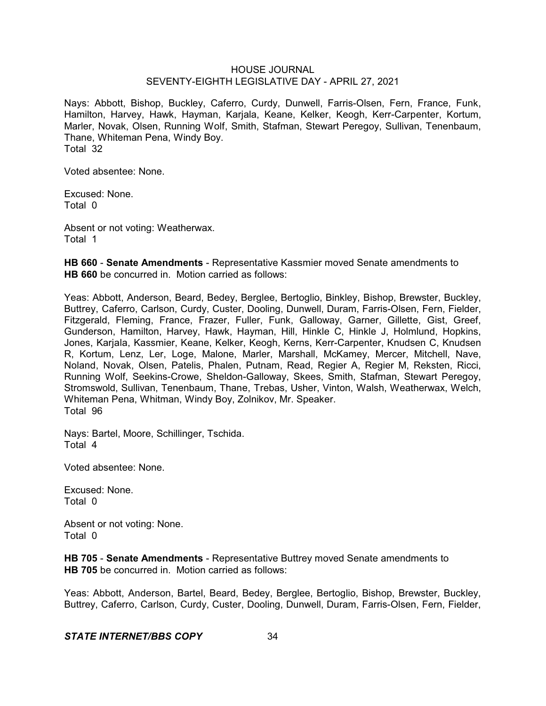Nays: Abbott, Bishop, Buckley, Caferro, Curdy, Dunwell, Farris-Olsen, Fern, France, Funk, Hamilton, Harvey, Hawk, Hayman, Karjala, Keane, Kelker, Keogh, Kerr-Carpenter, Kortum, Marler, Novak, Olsen, Running Wolf, Smith, Stafman, Stewart Peregoy, Sullivan, Tenenbaum, Thane, Whiteman Pena, Windy Boy. Total 32

Voted absentee: None.

Excused: None. Total 0

Absent or not voting: Weatherwax. Total 1

**HB 660** - **Senate Amendments** - Representative Kassmier moved Senate amendments to **HB 660** be concurred in. Motion carried as follows:

Yeas: Abbott, Anderson, Beard, Bedey, Berglee, Bertoglio, Binkley, Bishop, Brewster, Buckley, Buttrey, Caferro, Carlson, Curdy, Custer, Dooling, Dunwell, Duram, Farris-Olsen, Fern, Fielder, Fitzgerald, Fleming, France, Frazer, Fuller, Funk, Galloway, Garner, Gillette, Gist, Greef, Gunderson, Hamilton, Harvey, Hawk, Hayman, Hill, Hinkle C, Hinkle J, Holmlund, Hopkins, Jones, Karjala, Kassmier, Keane, Kelker, Keogh, Kerns, Kerr-Carpenter, Knudsen C, Knudsen R, Kortum, Lenz, Ler, Loge, Malone, Marler, Marshall, McKamey, Mercer, Mitchell, Nave, Noland, Novak, Olsen, Patelis, Phalen, Putnam, Read, Regier A, Regier M, Reksten, Ricci, Running Wolf, Seekins-Crowe, Sheldon-Galloway, Skees, Smith, Stafman, Stewart Peregoy, Stromswold, Sullivan, Tenenbaum, Thane, Trebas, Usher, Vinton, Walsh, Weatherwax, Welch, Whiteman Pena, Whitman, Windy Boy, Zolnikov, Mr. Speaker. Total 96

Nays: Bartel, Moore, Schillinger, Tschida. Total 4

Voted absentee: None.

Excused: None. Total 0

Absent or not voting: None. Total 0

**HB 705** - **Senate Amendments** - Representative Buttrey moved Senate amendments to **HB 705** be concurred in. Motion carried as follows:

Yeas: Abbott, Anderson, Bartel, Beard, Bedey, Berglee, Bertoglio, Bishop, Brewster, Buckley, Buttrey, Caferro, Carlson, Curdy, Custer, Dooling, Dunwell, Duram, Farris-Olsen, Fern, Fielder,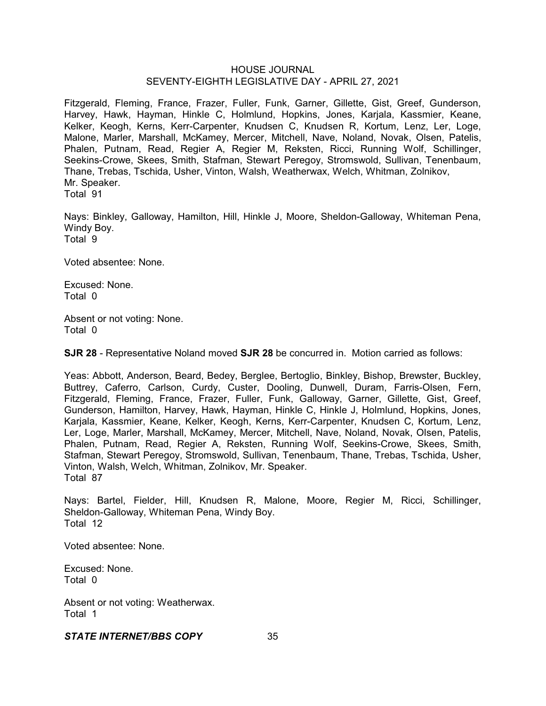Fitzgerald, Fleming, France, Frazer, Fuller, Funk, Garner, Gillette, Gist, Greef, Gunderson, Harvey, Hawk, Hayman, Hinkle C, Holmlund, Hopkins, Jones, Karjala, Kassmier, Keane, Kelker, Keogh, Kerns, Kerr-Carpenter, Knudsen C, Knudsen R, Kortum, Lenz, Ler, Loge, Malone, Marler, Marshall, McKamey, Mercer, Mitchell, Nave, Noland, Novak, Olsen, Patelis, Phalen, Putnam, Read, Regier A, Regier M, Reksten, Ricci, Running Wolf, Schillinger, Seekins-Crowe, Skees, Smith, Stafman, Stewart Peregoy, Stromswold, Sullivan, Tenenbaum, Thane, Trebas, Tschida, Usher, Vinton, Walsh, Weatherwax, Welch, Whitman, Zolnikov, Mr. Speaker. Total 91

Nays: Binkley, Galloway, Hamilton, Hill, Hinkle J, Moore, Sheldon-Galloway, Whiteman Pena, Windy Boy. Total 9

Voted absentee: None.

Excused: None. Total 0

Absent or not voting: None. Total 0

**SJR 28** - Representative Noland moved **SJR 28** be concurred in. Motion carried as follows:

Yeas: Abbott, Anderson, Beard, Bedey, Berglee, Bertoglio, Binkley, Bishop, Brewster, Buckley, Buttrey, Caferro, Carlson, Curdy, Custer, Dooling, Dunwell, Duram, Farris-Olsen, Fern, Fitzgerald, Fleming, France, Frazer, Fuller, Funk, Galloway, Garner, Gillette, Gist, Greef, Gunderson, Hamilton, Harvey, Hawk, Hayman, Hinkle C, Hinkle J, Holmlund, Hopkins, Jones, Karjala, Kassmier, Keane, Kelker, Keogh, Kerns, Kerr-Carpenter, Knudsen C, Kortum, Lenz, Ler, Loge, Marler, Marshall, McKamey, Mercer, Mitchell, Nave, Noland, Novak, Olsen, Patelis, Phalen, Putnam, Read, Regier A, Reksten, Running Wolf, Seekins-Crowe, Skees, Smith, Stafman, Stewart Peregoy, Stromswold, Sullivan, Tenenbaum, Thane, Trebas, Tschida, Usher, Vinton, Walsh, Welch, Whitman, Zolnikov, Mr. Speaker. Total 87

Nays: Bartel, Fielder, Hill, Knudsen R, Malone, Moore, Regier M, Ricci, Schillinger, Sheldon-Galloway, Whiteman Pena, Windy Boy. Total 12

Voted absentee: None.

Excused: None. Total 0

Absent or not voting: Weatherwax. Total 1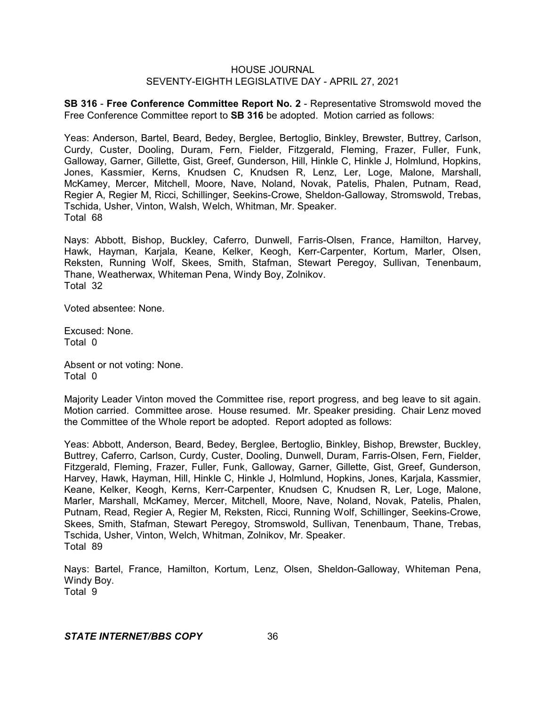**SB 316** - **Free Conference Committee Report No. 2** - Representative Stromswold moved the Free Conference Committee report to **SB 316** be adopted. Motion carried as follows:

Yeas: Anderson, Bartel, Beard, Bedey, Berglee, Bertoglio, Binkley, Brewster, Buttrey, Carlson, Curdy, Custer, Dooling, Duram, Fern, Fielder, Fitzgerald, Fleming, Frazer, Fuller, Funk, Galloway, Garner, Gillette, Gist, Greef, Gunderson, Hill, Hinkle C, Hinkle J, Holmlund, Hopkins, Jones, Kassmier, Kerns, Knudsen C, Knudsen R, Lenz, Ler, Loge, Malone, Marshall, McKamey, Mercer, Mitchell, Moore, Nave, Noland, Novak, Patelis, Phalen, Putnam, Read, Regier A, Regier M, Ricci, Schillinger, Seekins-Crowe, Sheldon-Galloway, Stromswold, Trebas, Tschida, Usher, Vinton, Walsh, Welch, Whitman, Mr. Speaker. Total 68

Nays: Abbott, Bishop, Buckley, Caferro, Dunwell, Farris-Olsen, France, Hamilton, Harvey, Hawk, Hayman, Karjala, Keane, Kelker, Keogh, Kerr-Carpenter, Kortum, Marler, Olsen, Reksten, Running Wolf, Skees, Smith, Stafman, Stewart Peregoy, Sullivan, Tenenbaum, Thane, Weatherwax, Whiteman Pena, Windy Boy, Zolnikov. Total 32

Voted absentee: None.

Excused: None. Total 0

Absent or not voting: None. Total 0

Majority Leader Vinton moved the Committee rise, report progress, and beg leave to sit again. Motion carried. Committee arose. House resumed. Mr. Speaker presiding. Chair Lenz moved the Committee of the Whole report be adopted. Report adopted as follows:

Yeas: Abbott, Anderson, Beard, Bedey, Berglee, Bertoglio, Binkley, Bishop, Brewster, Buckley, Buttrey, Caferro, Carlson, Curdy, Custer, Dooling, Dunwell, Duram, Farris-Olsen, Fern, Fielder, Fitzgerald, Fleming, Frazer, Fuller, Funk, Galloway, Garner, Gillette, Gist, Greef, Gunderson, Harvey, Hawk, Hayman, Hill, Hinkle C, Hinkle J, Holmlund, Hopkins, Jones, Karjala, Kassmier, Keane, Kelker, Keogh, Kerns, Kerr-Carpenter, Knudsen C, Knudsen R, Ler, Loge, Malone, Marler, Marshall, McKamey, Mercer, Mitchell, Moore, Nave, Noland, Novak, Patelis, Phalen, Putnam, Read, Regier A, Regier M, Reksten, Ricci, Running Wolf, Schillinger, Seekins-Crowe, Skees, Smith, Stafman, Stewart Peregoy, Stromswold, Sullivan, Tenenbaum, Thane, Trebas, Tschida, Usher, Vinton, Welch, Whitman, Zolnikov, Mr. Speaker. Total 89

Nays: Bartel, France, Hamilton, Kortum, Lenz, Olsen, Sheldon-Galloway, Whiteman Pena, Windy Boy. Total 9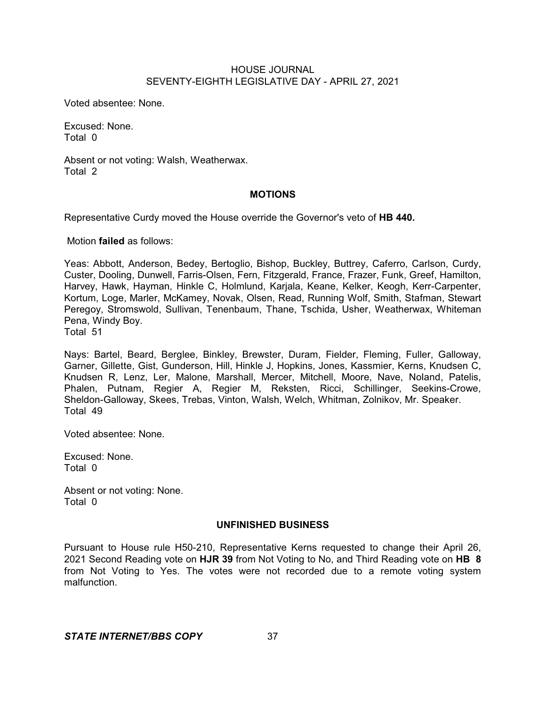Voted absentee: None.

Excused: None. Total 0

Absent or not voting: Walsh, Weatherwax. Total 2

## **MOTIONS**

Representative Curdy moved the House override the Governor's veto of **HB 440.**

Motion **failed** as follows:

Yeas: Abbott, Anderson, Bedey, Bertoglio, Bishop, Buckley, Buttrey, Caferro, Carlson, Curdy, Custer, Dooling, Dunwell, Farris-Olsen, Fern, Fitzgerald, France, Frazer, Funk, Greef, Hamilton, Harvey, Hawk, Hayman, Hinkle C, Holmlund, Karjala, Keane, Kelker, Keogh, Kerr-Carpenter, Kortum, Loge, Marler, McKamey, Novak, Olsen, Read, Running Wolf, Smith, Stafman, Stewart Peregoy, Stromswold, Sullivan, Tenenbaum, Thane, Tschida, Usher, Weatherwax, Whiteman Pena, Windy Boy.

Total 51

Nays: Bartel, Beard, Berglee, Binkley, Brewster, Duram, Fielder, Fleming, Fuller, Galloway, Garner, Gillette, Gist, Gunderson, Hill, Hinkle J, Hopkins, Jones, Kassmier, Kerns, Knudsen C, Knudsen R, Lenz, Ler, Malone, Marshall, Mercer, Mitchell, Moore, Nave, Noland, Patelis, Phalen, Putnam, Regier A, Regier M, Reksten, Ricci, Schillinger, Seekins-Crowe, Sheldon-Galloway, Skees, Trebas, Vinton, Walsh, Welch, Whitman, Zolnikov, Mr. Speaker. Total 49

Voted absentee: None.

Excused: None. Total 0

Absent or not voting: None. Total 0

## **UNFINISHED BUSINESS**

Pursuant to House rule H50-210, Representative Kerns requested to change their April 26, 2021 Second Reading vote on **HJR 39** from Not Voting to No, and Third Reading vote on **HB 8** from Not Voting to Yes. The votes were not recorded due to a remote voting system malfunction.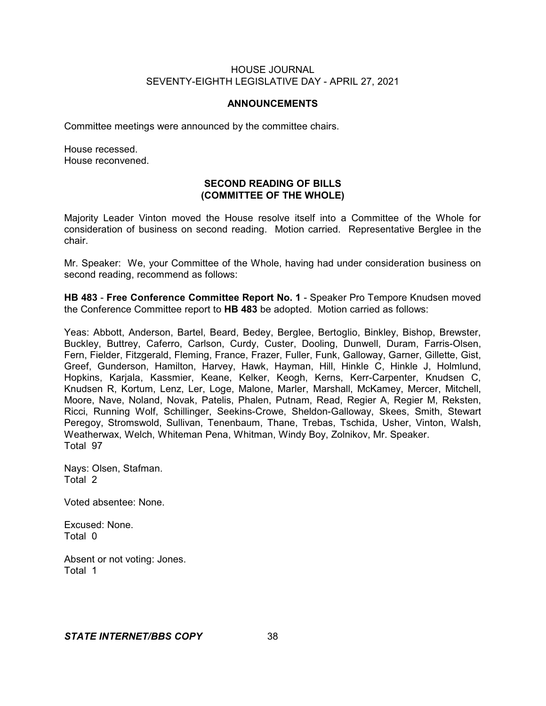#### **ANNOUNCEMENTS**

Committee meetings were announced by the committee chairs.

House recessed. House reconvened.

## **SECOND READING OF BILLS (COMMITTEE OF THE WHOLE)**

Majority Leader Vinton moved the House resolve itself into a Committee of the Whole for consideration of business on second reading. Motion carried. Representative Berglee in the chair.

Mr. Speaker: We, your Committee of the Whole, having had under consideration business on second reading, recommend as follows:

**HB 483** - **Free Conference Committee Report No. 1** - Speaker Pro Tempore Knudsen moved the Conference Committee report to **HB 483** be adopted. Motion carried as follows:

Yeas: Abbott, Anderson, Bartel, Beard, Bedey, Berglee, Bertoglio, Binkley, Bishop, Brewster, Buckley, Buttrey, Caferro, Carlson, Curdy, Custer, Dooling, Dunwell, Duram, Farris-Olsen, Fern, Fielder, Fitzgerald, Fleming, France, Frazer, Fuller, Funk, Galloway, Garner, Gillette, Gist, Greef, Gunderson, Hamilton, Harvey, Hawk, Hayman, Hill, Hinkle C, Hinkle J, Holmlund, Hopkins, Karjala, Kassmier, Keane, Kelker, Keogh, Kerns, Kerr-Carpenter, Knudsen C, Knudsen R, Kortum, Lenz, Ler, Loge, Malone, Marler, Marshall, McKamey, Mercer, Mitchell, Moore, Nave, Noland, Novak, Patelis, Phalen, Putnam, Read, Regier A, Regier M, Reksten, Ricci, Running Wolf, Schillinger, Seekins-Crowe, Sheldon-Galloway, Skees, Smith, Stewart Peregoy, Stromswold, Sullivan, Tenenbaum, Thane, Trebas, Tschida, Usher, Vinton, Walsh, Weatherwax, Welch, Whiteman Pena, Whitman, Windy Boy, Zolnikov, Mr. Speaker. Total 97

Nays: Olsen, Stafman. Total 2

Voted absentee: None.

Excused: None. Total 0

Absent or not voting: Jones. Total 1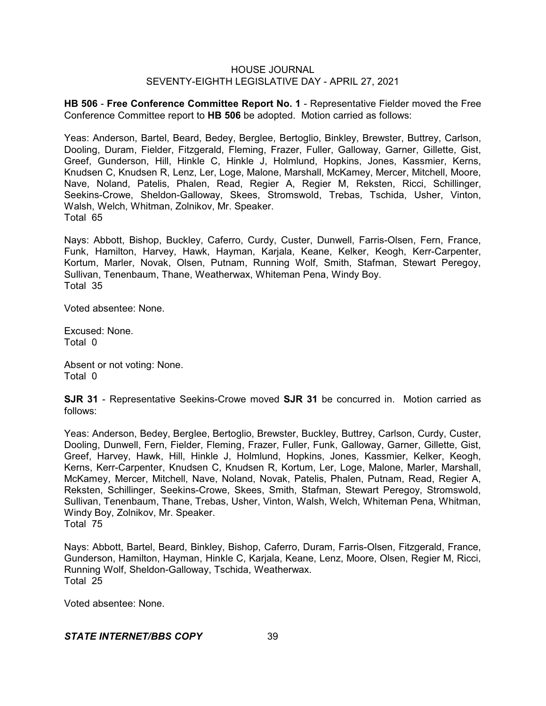**HB 506** - **Free Conference Committee Report No. 1** - Representative Fielder moved the Free Conference Committee report to **HB 506** be adopted. Motion carried as follows:

Yeas: Anderson, Bartel, Beard, Bedey, Berglee, Bertoglio, Binkley, Brewster, Buttrey, Carlson, Dooling, Duram, Fielder, Fitzgerald, Fleming, Frazer, Fuller, Galloway, Garner, Gillette, Gist, Greef, Gunderson, Hill, Hinkle C, Hinkle J, Holmlund, Hopkins, Jones, Kassmier, Kerns, Knudsen C, Knudsen R, Lenz, Ler, Loge, Malone, Marshall, McKamey, Mercer, Mitchell, Moore, Nave, Noland, Patelis, Phalen, Read, Regier A, Regier M, Reksten, Ricci, Schillinger, Seekins-Crowe, Sheldon-Galloway, Skees, Stromswold, Trebas, Tschida, Usher, Vinton, Walsh, Welch, Whitman, Zolnikov, Mr. Speaker. Total 65

Nays: Abbott, Bishop, Buckley, Caferro, Curdy, Custer, Dunwell, Farris-Olsen, Fern, France, Funk, Hamilton, Harvey, Hawk, Hayman, Karjala, Keane, Kelker, Keogh, Kerr-Carpenter, Kortum, Marler, Novak, Olsen, Putnam, Running Wolf, Smith, Stafman, Stewart Peregoy, Sullivan, Tenenbaum, Thane, Weatherwax, Whiteman Pena, Windy Boy. Total 35

Voted absentee: None.

Excused: None. Total 0

Absent or not voting: None. Total 0

**SJR 31** - Representative Seekins-Crowe moved **SJR 31** be concurred in. Motion carried as follows:

Yeas: Anderson, Bedey, Berglee, Bertoglio, Brewster, Buckley, Buttrey, Carlson, Curdy, Custer, Dooling, Dunwell, Fern, Fielder, Fleming, Frazer, Fuller, Funk, Galloway, Garner, Gillette, Gist, Greef, Harvey, Hawk, Hill, Hinkle J, Holmlund, Hopkins, Jones, Kassmier, Kelker, Keogh, Kerns, Kerr-Carpenter, Knudsen C, Knudsen R, Kortum, Ler, Loge, Malone, Marler, Marshall, McKamey, Mercer, Mitchell, Nave, Noland, Novak, Patelis, Phalen, Putnam, Read, Regier A, Reksten, Schillinger, Seekins-Crowe, Skees, Smith, Stafman, Stewart Peregoy, Stromswold, Sullivan, Tenenbaum, Thane, Trebas, Usher, Vinton, Walsh, Welch, Whiteman Pena, Whitman, Windy Boy, Zolnikov, Mr. Speaker. Total 75

Nays: Abbott, Bartel, Beard, Binkley, Bishop, Caferro, Duram, Farris-Olsen, Fitzgerald, France, Gunderson, Hamilton, Hayman, Hinkle C, Karjala, Keane, Lenz, Moore, Olsen, Regier M, Ricci, Running Wolf, Sheldon-Galloway, Tschida, Weatherwax. Total 25

Voted absentee: None.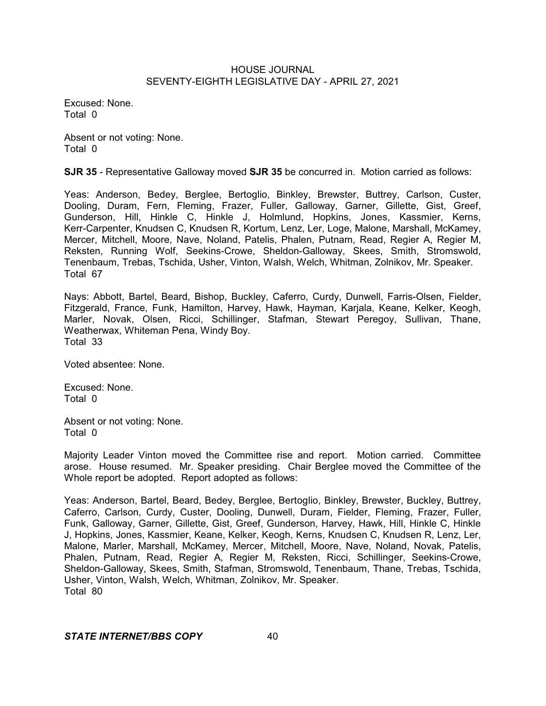Excused: None. Total 0

Absent or not voting: None. Total 0

**SJR 35** - Representative Galloway moved **SJR 35** be concurred in. Motion carried as follows:

Yeas: Anderson, Bedey, Berglee, Bertoglio, Binkley, Brewster, Buttrey, Carlson, Custer, Dooling, Duram, Fern, Fleming, Frazer, Fuller, Galloway, Garner, Gillette, Gist, Greef, Gunderson, Hill, Hinkle C, Hinkle J, Holmlund, Hopkins, Jones, Kassmier, Kerns, Kerr-Carpenter, Knudsen C, Knudsen R, Kortum, Lenz, Ler, Loge, Malone, Marshall, McKamey, Mercer, Mitchell, Moore, Nave, Noland, Patelis, Phalen, Putnam, Read, Regier A, Regier M, Reksten, Running Wolf, Seekins-Crowe, Sheldon-Galloway, Skees, Smith, Stromswold, Tenenbaum, Trebas, Tschida, Usher, Vinton, Walsh, Welch, Whitman, Zolnikov, Mr. Speaker. Total 67

Nays: Abbott, Bartel, Beard, Bishop, Buckley, Caferro, Curdy, Dunwell, Farris-Olsen, Fielder, Fitzgerald, France, Funk, Hamilton, Harvey, Hawk, Hayman, Karjala, Keane, Kelker, Keogh, Marler, Novak, Olsen, Ricci, Schillinger, Stafman, Stewart Peregoy, Sullivan, Thane, Weatherwax, Whiteman Pena, Windy Boy. Total 33

Voted absentee: None.

Excused: None. Total 0

Absent or not voting: None. Total 0

Majority Leader Vinton moved the Committee rise and report. Motion carried. Committee arose. House resumed. Mr. Speaker presiding. Chair Berglee moved the Committee of the Whole report be adopted. Report adopted as follows:

Yeas: Anderson, Bartel, Beard, Bedey, Berglee, Bertoglio, Binkley, Brewster, Buckley, Buttrey, Caferro, Carlson, Curdy, Custer, Dooling, Dunwell, Duram, Fielder, Fleming, Frazer, Fuller, Funk, Galloway, Garner, Gillette, Gist, Greef, Gunderson, Harvey, Hawk, Hill, Hinkle C, Hinkle J, Hopkins, Jones, Kassmier, Keane, Kelker, Keogh, Kerns, Knudsen C, Knudsen R, Lenz, Ler, Malone, Marler, Marshall, McKamey, Mercer, Mitchell, Moore, Nave, Noland, Novak, Patelis, Phalen, Putnam, Read, Regier A, Regier M, Reksten, Ricci, Schillinger, Seekins-Crowe, Sheldon-Galloway, Skees, Smith, Stafman, Stromswold, Tenenbaum, Thane, Trebas, Tschida, Usher, Vinton, Walsh, Welch, Whitman, Zolnikov, Mr. Speaker. Total 80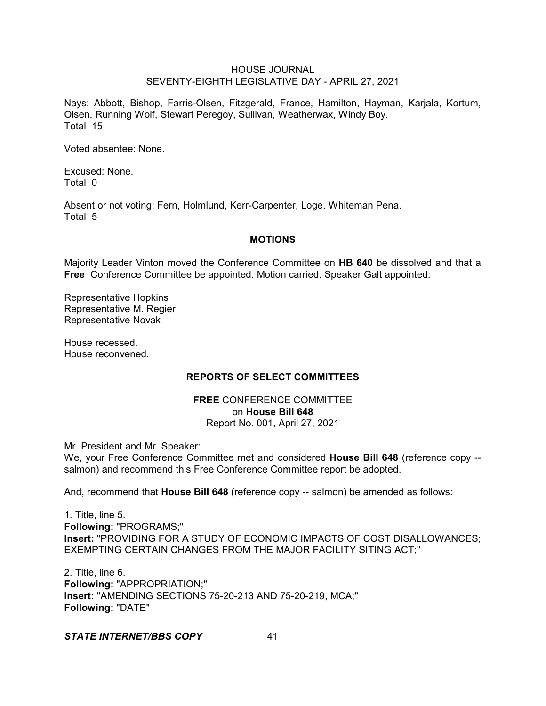Nays: Abbott, Bishop, Farris-Olsen, Fitzgerald, France, Hamilton, Hayman, Karjala, Kortum, Olsen, Running Wolf, Stewart Peregoy, Sullivan, Weatherwax, Windy Boy. Total 15

Voted absentee: None.

Excused: None. Total 0

Absent or not voting: Fern, Holmlund, Kerr-Carpenter, Loge, Whiteman Pena. Total 5

## **MOTIONS**

Majority Leader Vinton moved the Conference Committee on **HB 640** be dissolved and that a **Free** Conference Committee be appointed. Motion carried. Speaker Galt appointed:

Representative Hopkins Representative M. Regier Representative Novak

House recessed. House reconvened.

# **REPORTS OF SELECT COMMITTEES**

## **FREE** CONFERENCE COMMITTEE on **House Bill 648** Report No. 001, April 27, 2021

Mr. President and Mr. Speaker:

We, your Free Conference Committee met and considered **House Bill 648** (reference copy - salmon) and recommend this Free Conference Committee report be adopted.

And, recommend that **House Bill 648** (reference copy -- salmon) be amended as follows:

1. Title, line 5. **Following:** "PROGRAMS;" **Insert:** "PROVIDING FOR A STUDY OF ECONOMIC IMPACTS OF COST DISALLOWANCES; EXEMPTING CERTAIN CHANGES FROM THE MAJOR FACILITY SITING ACT;"

2. Title, line 6. **Following:** "APPROPRIATION;" **Insert:** "AMENDING SECTIONS 75-20-213 AND 75-20-219, MCA;" **Following:** "DATE"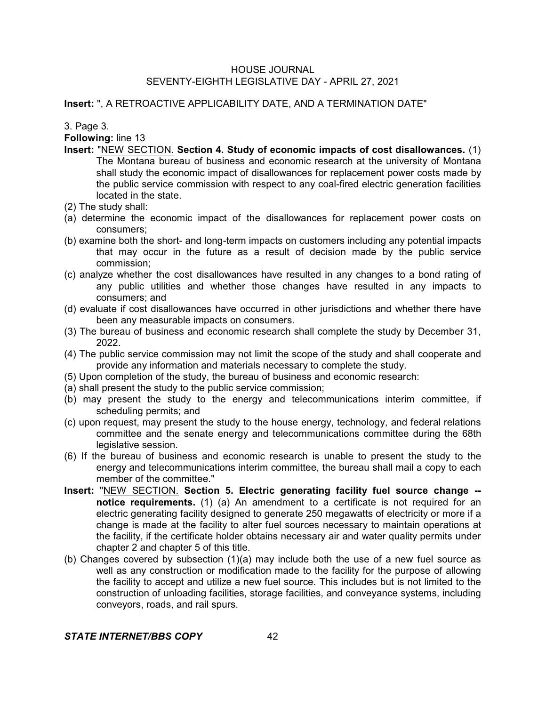**Insert:** ", A RETROACTIVE APPLICABILITY DATE, AND A TERMINATION DATE"

3. Page 3.

**Following:** line 13

- **Insert:** "NEW SECTION. **Section 4. Study of economic impacts of cost disallowances.** (1) The Montana bureau of business and economic research at the university of Montana shall study the economic impact of disallowances for replacement power costs made by the public service commission with respect to any coal-fired electric generation facilities located in the state.
- (2) The study shall:
- (a) determine the economic impact of the disallowances for replacement power costs on consumers;
- (b) examine both the short- and long-term impacts on customers including any potential impacts that may occur in the future as a result of decision made by the public service commission;
- (c) analyze whether the cost disallowances have resulted in any changes to a bond rating of any public utilities and whether those changes have resulted in any impacts to consumers; and
- (d) evaluate if cost disallowances have occurred in other jurisdictions and whether there have been any measurable impacts on consumers.
- (3) The bureau of business and economic research shall complete the study by December 31, 2022.
- (4) The public service commission may not limit the scope of the study and shall cooperate and provide any information and materials necessary to complete the study.
- (5) Upon completion of the study, the bureau of business and economic research:
- (a) shall present the study to the public service commission;
- (b) may present the study to the energy and telecommunications interim committee, if scheduling permits; and
- (c) upon request, may present the study to the house energy, technology, and federal relations committee and the senate energy and telecommunications committee during the 68th legislative session.
- (6) If the bureau of business and economic research is unable to present the study to the energy and telecommunications interim committee, the bureau shall mail a copy to each member of the committee."
- **Insert:** "NEW SECTION. **Section 5. Electric generating facility fuel source change - notice requirements.** (1) (a) An amendment to a certificate is not required for an electric generating facility designed to generate 250 megawatts of electricity or more if a change is made at the facility to alter fuel sources necessary to maintain operations at the facility, if the certificate holder obtains necessary air and water quality permits under chapter 2 and chapter 5 of this title.
- (b) Changes covered by subsection (1)(a) may include both the use of a new fuel source as well as any construction or modification made to the facility for the purpose of allowing the facility to accept and utilize a new fuel source. This includes but is not limited to the construction of unloading facilities, storage facilities, and conveyance systems, including conveyors, roads, and rail spurs.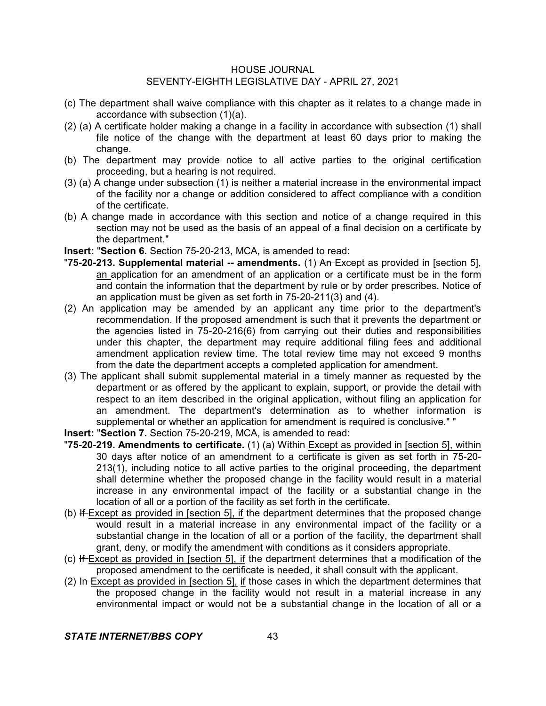- (c) The department shall waive compliance with this chapter as it relates to a change made in accordance with subsection (1)(a).
- (2) (a) A certificate holder making a change in a facility in accordance with subsection (1) shall file notice of the change with the department at least 60 days prior to making the change.
- (b) The department may provide notice to all active parties to the original certification proceeding, but a hearing is not required.
- (3) (a) A change under subsection (1) is neither a material increase in the environmental impact of the facility nor a change or addition considered to affect compliance with a condition of the certificate.
- (b) A change made in accordance with this section and notice of a change required in this section may not be used as the basis of an appeal of a final decision on a certificate by the department."
- **Insert:** "**Section 6.** Section 75-20-213, MCA, is amended to read:
- "**75-20-213. Supplemental material -- amendments.** (1) An Except as provided in [section 5], an application for an amendment of an application or a certificate must be in the form and contain the information that the department by rule or by order prescribes. Notice of an application must be given as set forth in 75-20-211(3) and (4).
- (2) An application may be amended by an applicant any time prior to the department's recommendation. If the proposed amendment is such that it prevents the department or the agencies listed in 75-20-216(6) from carrying out their duties and responsibilities under this chapter, the department may require additional filing fees and additional amendment application review time. The total review time may not exceed 9 months from the date the department accepts a completed application for amendment.
- (3) The applicant shall submit supplemental material in a timely manner as requested by the department or as offered by the applicant to explain, support, or provide the detail with respect to an item described in the original application, without filing an application for an amendment. The department's determination as to whether information is supplemental or whether an application for amendment is required is conclusive." "
- **Insert:** "**Section 7.** Section 75-20-219, MCA, is amended to read:
- "**75-20-219. Amendments to certificate.** (1) (a) Within Except as provided in [section 5], within 30 days after notice of an amendment to a certificate is given as set forth in 75-20- 213(1), including notice to all active parties to the original proceeding, the department shall determine whether the proposed change in the facility would result in a material increase in any environmental impact of the facility or a substantial change in the location of all or a portion of the facility as set forth in the certificate.
- (b) If Except as provided in [section 5], if the department determines that the proposed change would result in a material increase in any environmental impact of the facility or a substantial change in the location of all or a portion of the facility, the department shall grant, deny, or modify the amendment with conditions as it considers appropriate.
- (c) If Except as provided in [section 5], if the department determines that a modification of the proposed amendment to the certificate is needed, it shall consult with the applicant.
- $(2)$  In Except as provided in [section 5], if those cases in which the department determines that the proposed change in the facility would not result in a material increase in any environmental impact or would not be a substantial change in the location of all or a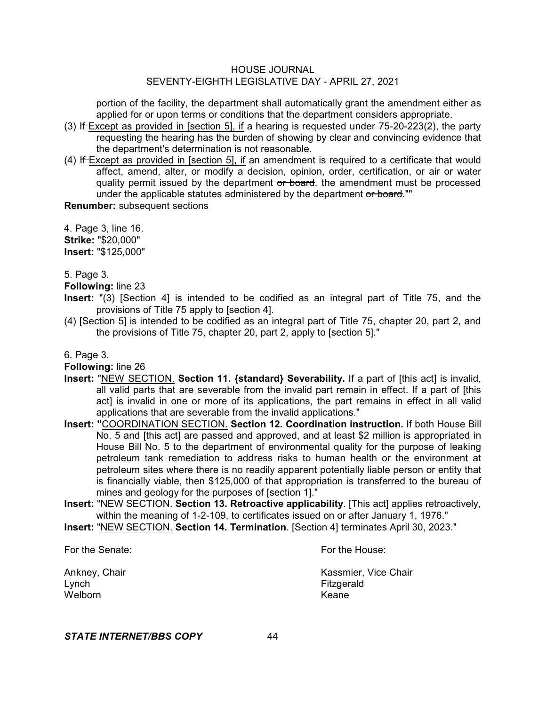portion of the facility, the department shall automatically grant the amendment either as applied for or upon terms or conditions that the department considers appropriate.

- $(3)$  If-Except as provided in [section 5], if a hearing is requested under 75-20-223 $(2)$ , the party requesting the hearing has the burden of showing by clear and convincing evidence that the department's determination is not reasonable.
- $(4)$  If-Except as provided in [section 5], if an amendment is required to a certificate that would affect, amend, alter, or modify a decision, opinion, order, certification, or air or water quality permit issued by the department or board, the amendment must be processed under the applicable statutes administered by the department or board.""

**Renumber:** subsequent sections

4. Page 3, line 16. **Strike:** "\$20,000" **Insert:** "\$125,000"

5. Page 3.

**Following:** line 23

- **Insert:** "(3) [Section 4] is intended to be codified as an integral part of Title 75, and the provisions of Title 75 apply to [section 4].
- (4) [Section 5] is intended to be codified as an integral part of Title 75, chapter 20, part 2, and the provisions of Title 75, chapter 20, part 2, apply to [section 5]."

## 6. Page 3.

**Following:** line 26

- **Insert:** "NEW SECTION. **Section 11. {standard} Severability.** If a part of [this act] is invalid, all valid parts that are severable from the invalid part remain in effect. If a part of [this act] is invalid in one or more of its applications, the part remains in effect in all valid applications that are severable from the invalid applications."
- **Insert: "**COORDINATION SECTION. **Section 12. Coordination instruction.** If both House Bill No. 5 and [this act] are passed and approved, and at least \$2 million is appropriated in House Bill No. 5 to the department of environmental quality for the purpose of leaking petroleum tank remediation to address risks to human health or the environment at petroleum sites where there is no readily apparent potentially liable person or entity that is financially viable, then \$125,000 of that appropriation is transferred to the bureau of mines and geology for the purposes of [section 1]."
- **Insert:** "NEW SECTION. **Section 13. Retroactive applicability**. [This act] applies retroactively, within the meaning of 1-2-109, to certificates issued on or after January 1, 1976."
- **Insert:** "NEW SECTION. **Section 14. Termination**. [Section 4] terminates April 30, 2023."

For the Senate: The Senate: The Senate: The House: The House: The House: The House: The House: The House: The House: The House: The House: The House: The House: The House: The House: The House: The House: The House: The Ho

Lynch Fitzgerald Welborn **Keane** 

Ankney, Chair **Kassmier, Vice Chair** Kassmier, Vice Chair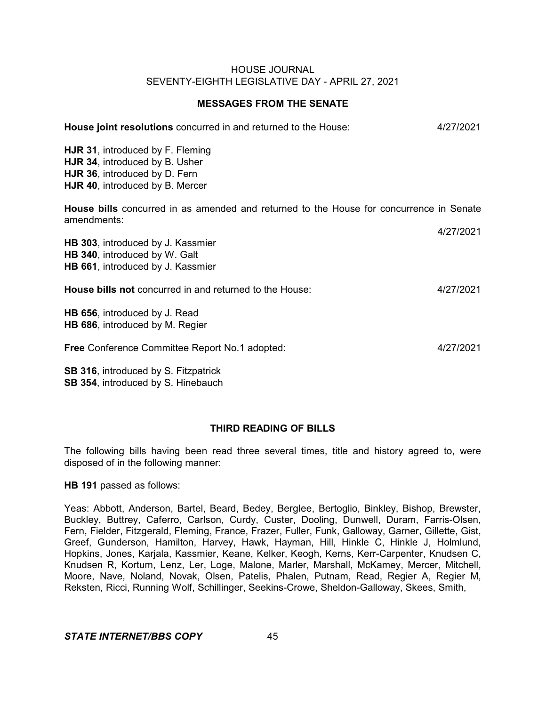## **MESSAGES FROM THE SENATE**

| House joint resolutions concurred in and returned to the House:                                                                        | 4/27/2021 |
|----------------------------------------------------------------------------------------------------------------------------------------|-----------|
| HJR 31, introduced by F. Fleming<br>HJR 34, introduced by B. Usher<br>HJR 36, introduced by D. Fern<br>HJR 40, introduced by B. Mercer |           |
| <b>House bills</b> concurred in as amended and returned to the House for concurrence in Senate<br>amendments:                          |           |
| HB 303, introduced by J. Kassmier<br>HB 340, introduced by W. Galt<br>HB 661, introduced by J. Kassmier                                | 4/27/2021 |
| House bills not concurred in and returned to the House:                                                                                | 4/27/2021 |
| HB 656, introduced by J. Read<br>HB 686, introduced by M. Regier                                                                       |           |
| <b>Free Conference Committee Report No.1 adopted:</b>                                                                                  | 4/27/2021 |
| <b>SB 316, introduced by S. Fitzpatrick</b>                                                                                            |           |

**SB 354**, introduced by S. Hinebauch

# **THIRD READING OF BILLS**

The following bills having been read three several times, title and history agreed to, were disposed of in the following manner:

## **HB 191** passed as follows:

Yeas: Abbott, Anderson, Bartel, Beard, Bedey, Berglee, Bertoglio, Binkley, Bishop, Brewster, Buckley, Buttrey, Caferro, Carlson, Curdy, Custer, Dooling, Dunwell, Duram, Farris-Olsen, Fern, Fielder, Fitzgerald, Fleming, France, Frazer, Fuller, Funk, Galloway, Garner, Gillette, Gist, Greef, Gunderson, Hamilton, Harvey, Hawk, Hayman, Hill, Hinkle C, Hinkle J, Holmlund, Hopkins, Jones, Karjala, Kassmier, Keane, Kelker, Keogh, Kerns, Kerr-Carpenter, Knudsen C, Knudsen R, Kortum, Lenz, Ler, Loge, Malone, Marler, Marshall, McKamey, Mercer, Mitchell, Moore, Nave, Noland, Novak, Olsen, Patelis, Phalen, Putnam, Read, Regier A, Regier M, Reksten, Ricci, Running Wolf, Schillinger, Seekins-Crowe, Sheldon-Galloway, Skees, Smith,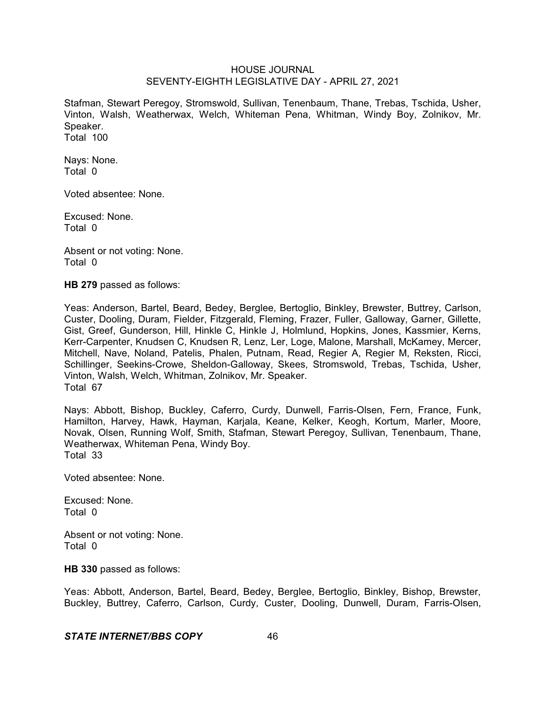Stafman, Stewart Peregoy, Stromswold, Sullivan, Tenenbaum, Thane, Trebas, Tschida, Usher, Vinton, Walsh, Weatherwax, Welch, Whiteman Pena, Whitman, Windy Boy, Zolnikov, Mr. Speaker. Total 100

Nays: None. Total 0

Voted absentee: None.

Excused: None. Total 0

Absent or not voting: None. Total 0

**HB 279** passed as follows:

Yeas: Anderson, Bartel, Beard, Bedey, Berglee, Bertoglio, Binkley, Brewster, Buttrey, Carlson, Custer, Dooling, Duram, Fielder, Fitzgerald, Fleming, Frazer, Fuller, Galloway, Garner, Gillette, Gist, Greef, Gunderson, Hill, Hinkle C, Hinkle J, Holmlund, Hopkins, Jones, Kassmier, Kerns, Kerr-Carpenter, Knudsen C, Knudsen R, Lenz, Ler, Loge, Malone, Marshall, McKamey, Mercer, Mitchell, Nave, Noland, Patelis, Phalen, Putnam, Read, Regier A, Regier M, Reksten, Ricci, Schillinger, Seekins-Crowe, Sheldon-Galloway, Skees, Stromswold, Trebas, Tschida, Usher, Vinton, Walsh, Welch, Whitman, Zolnikov, Mr. Speaker. Total 67

Nays: Abbott, Bishop, Buckley, Caferro, Curdy, Dunwell, Farris-Olsen, Fern, France, Funk, Hamilton, Harvey, Hawk, Hayman, Karjala, Keane, Kelker, Keogh, Kortum, Marler, Moore, Novak, Olsen, Running Wolf, Smith, Stafman, Stewart Peregoy, Sullivan, Tenenbaum, Thane, Weatherwax, Whiteman Pena, Windy Boy. Total 33

Voted absentee: None.

Excused: None. Total 0

Absent or not voting: None. Total 0

**HB 330** passed as follows:

Yeas: Abbott, Anderson, Bartel, Beard, Bedey, Berglee, Bertoglio, Binkley, Bishop, Brewster, Buckley, Buttrey, Caferro, Carlson, Curdy, Custer, Dooling, Dunwell, Duram, Farris-Olsen,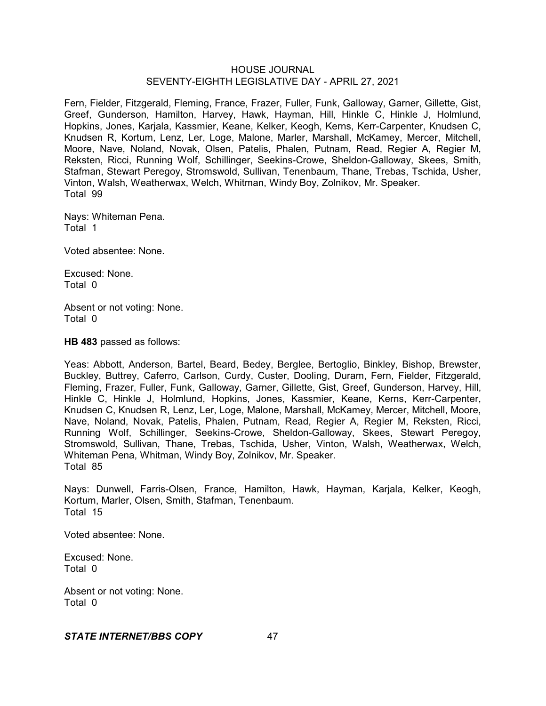Fern, Fielder, Fitzgerald, Fleming, France, Frazer, Fuller, Funk, Galloway, Garner, Gillette, Gist, Greef, Gunderson, Hamilton, Harvey, Hawk, Hayman, Hill, Hinkle C, Hinkle J, Holmlund, Hopkins, Jones, Karjala, Kassmier, Keane, Kelker, Keogh, Kerns, Kerr-Carpenter, Knudsen C, Knudsen R, Kortum, Lenz, Ler, Loge, Malone, Marler, Marshall, McKamey, Mercer, Mitchell, Moore, Nave, Noland, Novak, Olsen, Patelis, Phalen, Putnam, Read, Regier A, Regier M, Reksten, Ricci, Running Wolf, Schillinger, Seekins-Crowe, Sheldon-Galloway, Skees, Smith, Stafman, Stewart Peregoy, Stromswold, Sullivan, Tenenbaum, Thane, Trebas, Tschida, Usher, Vinton, Walsh, Weatherwax, Welch, Whitman, Windy Boy, Zolnikov, Mr. Speaker. Total 99

Nays: Whiteman Pena. Total 1

Voted absentee: None.

Excused: None. Total 0

Absent or not voting: None. Total 0

**HB 483** passed as follows:

Yeas: Abbott, Anderson, Bartel, Beard, Bedey, Berglee, Bertoglio, Binkley, Bishop, Brewster, Buckley, Buttrey, Caferro, Carlson, Curdy, Custer, Dooling, Duram, Fern, Fielder, Fitzgerald, Fleming, Frazer, Fuller, Funk, Galloway, Garner, Gillette, Gist, Greef, Gunderson, Harvey, Hill, Hinkle C, Hinkle J, Holmlund, Hopkins, Jones, Kassmier, Keane, Kerns, Kerr-Carpenter, Knudsen C, Knudsen R, Lenz, Ler, Loge, Malone, Marshall, McKamey, Mercer, Mitchell, Moore, Nave, Noland, Novak, Patelis, Phalen, Putnam, Read, Regier A, Regier M, Reksten, Ricci, Running Wolf, Schillinger, Seekins-Crowe, Sheldon-Galloway, Skees, Stewart Peregoy, Stromswold, Sullivan, Thane, Trebas, Tschida, Usher, Vinton, Walsh, Weatherwax, Welch, Whiteman Pena, Whitman, Windy Boy, Zolnikov, Mr. Speaker. Total 85

Nays: Dunwell, Farris-Olsen, France, Hamilton, Hawk, Hayman, Karjala, Kelker, Keogh, Kortum, Marler, Olsen, Smith, Stafman, Tenenbaum. Total 15

Voted absentee: None.

Excused: None. Total 0

Absent or not voting: None. Total 0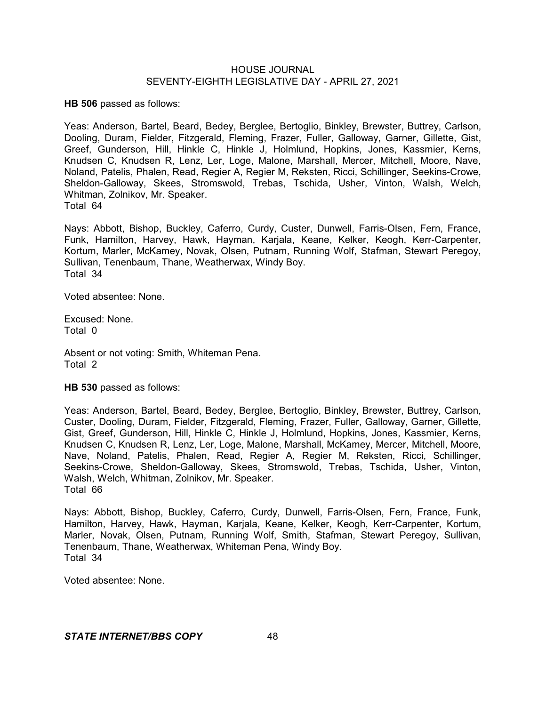**HB 506** passed as follows:

Yeas: Anderson, Bartel, Beard, Bedey, Berglee, Bertoglio, Binkley, Brewster, Buttrey, Carlson, Dooling, Duram, Fielder, Fitzgerald, Fleming, Frazer, Fuller, Galloway, Garner, Gillette, Gist, Greef, Gunderson, Hill, Hinkle C, Hinkle J, Holmlund, Hopkins, Jones, Kassmier, Kerns, Knudsen C, Knudsen R, Lenz, Ler, Loge, Malone, Marshall, Mercer, Mitchell, Moore, Nave, Noland, Patelis, Phalen, Read, Regier A, Regier M, Reksten, Ricci, Schillinger, Seekins-Crowe, Sheldon-Galloway, Skees, Stromswold, Trebas, Tschida, Usher, Vinton, Walsh, Welch, Whitman, Zolnikov, Mr. Speaker. Total 64

Nays: Abbott, Bishop, Buckley, Caferro, Curdy, Custer, Dunwell, Farris-Olsen, Fern, France, Funk, Hamilton, Harvey, Hawk, Hayman, Karjala, Keane, Kelker, Keogh, Kerr-Carpenter, Kortum, Marler, McKamey, Novak, Olsen, Putnam, Running Wolf, Stafman, Stewart Peregoy, Sullivan, Tenenbaum, Thane, Weatherwax, Windy Boy. Total 34

Voted absentee: None.

Excused: None. Total 0

Absent or not voting: Smith, Whiteman Pena. Total 2

**HB 530** passed as follows:

Yeas: Anderson, Bartel, Beard, Bedey, Berglee, Bertoglio, Binkley, Brewster, Buttrey, Carlson, Custer, Dooling, Duram, Fielder, Fitzgerald, Fleming, Frazer, Fuller, Galloway, Garner, Gillette, Gist, Greef, Gunderson, Hill, Hinkle C, Hinkle J, Holmlund, Hopkins, Jones, Kassmier, Kerns, Knudsen C, Knudsen R, Lenz, Ler, Loge, Malone, Marshall, McKamey, Mercer, Mitchell, Moore, Nave, Noland, Patelis, Phalen, Read, Regier A, Regier M, Reksten, Ricci, Schillinger, Seekins-Crowe, Sheldon-Galloway, Skees, Stromswold, Trebas, Tschida, Usher, Vinton, Walsh, Welch, Whitman, Zolnikov, Mr. Speaker. Total 66

Nays: Abbott, Bishop, Buckley, Caferro, Curdy, Dunwell, Farris-Olsen, Fern, France, Funk, Hamilton, Harvey, Hawk, Hayman, Karjala, Keane, Kelker, Keogh, Kerr-Carpenter, Kortum, Marler, Novak, Olsen, Putnam, Running Wolf, Smith, Stafman, Stewart Peregoy, Sullivan, Tenenbaum, Thane, Weatherwax, Whiteman Pena, Windy Boy. Total 34

Voted absentee: None.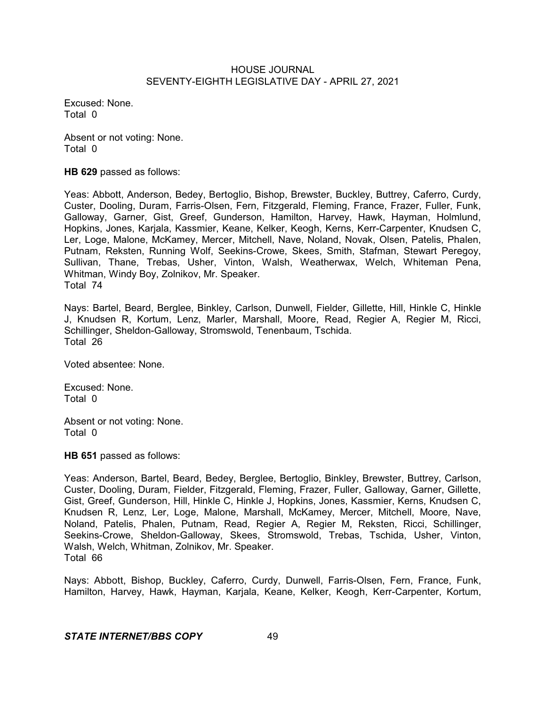Excused: None. Total 0

Absent or not voting: None. Total 0

**HB 629** passed as follows:

Yeas: Abbott, Anderson, Bedey, Bertoglio, Bishop, Brewster, Buckley, Buttrey, Caferro, Curdy, Custer, Dooling, Duram, Farris-Olsen, Fern, Fitzgerald, Fleming, France, Frazer, Fuller, Funk, Galloway, Garner, Gist, Greef, Gunderson, Hamilton, Harvey, Hawk, Hayman, Holmlund, Hopkins, Jones, Karjala, Kassmier, Keane, Kelker, Keogh, Kerns, Kerr-Carpenter, Knudsen C, Ler, Loge, Malone, McKamey, Mercer, Mitchell, Nave, Noland, Novak, Olsen, Patelis, Phalen, Putnam, Reksten, Running Wolf, Seekins-Crowe, Skees, Smith, Stafman, Stewart Peregoy, Sullivan, Thane, Trebas, Usher, Vinton, Walsh, Weatherwax, Welch, Whiteman Pena, Whitman, Windy Boy, Zolnikov, Mr. Speaker. Total 74

Nays: Bartel, Beard, Berglee, Binkley, Carlson, Dunwell, Fielder, Gillette, Hill, Hinkle C, Hinkle J, Knudsen R, Kortum, Lenz, Marler, Marshall, Moore, Read, Regier A, Regier M, Ricci, Schillinger, Sheldon-Galloway, Stromswold, Tenenbaum, Tschida. Total 26

Voted absentee: None.

Excused: None. Total 0

Absent or not voting: None. Total 0

**HB 651** passed as follows:

Yeas: Anderson, Bartel, Beard, Bedey, Berglee, Bertoglio, Binkley, Brewster, Buttrey, Carlson, Custer, Dooling, Duram, Fielder, Fitzgerald, Fleming, Frazer, Fuller, Galloway, Garner, Gillette, Gist, Greef, Gunderson, Hill, Hinkle C, Hinkle J, Hopkins, Jones, Kassmier, Kerns, Knudsen C, Knudsen R, Lenz, Ler, Loge, Malone, Marshall, McKamey, Mercer, Mitchell, Moore, Nave, Noland, Patelis, Phalen, Putnam, Read, Regier A, Regier M, Reksten, Ricci, Schillinger, Seekins-Crowe, Sheldon-Galloway, Skees, Stromswold, Trebas, Tschida, Usher, Vinton, Walsh, Welch, Whitman, Zolnikov, Mr. Speaker. Total 66

Nays: Abbott, Bishop, Buckley, Caferro, Curdy, Dunwell, Farris-Olsen, Fern, France, Funk, Hamilton, Harvey, Hawk, Hayman, Karjala, Keane, Kelker, Keogh, Kerr-Carpenter, Kortum,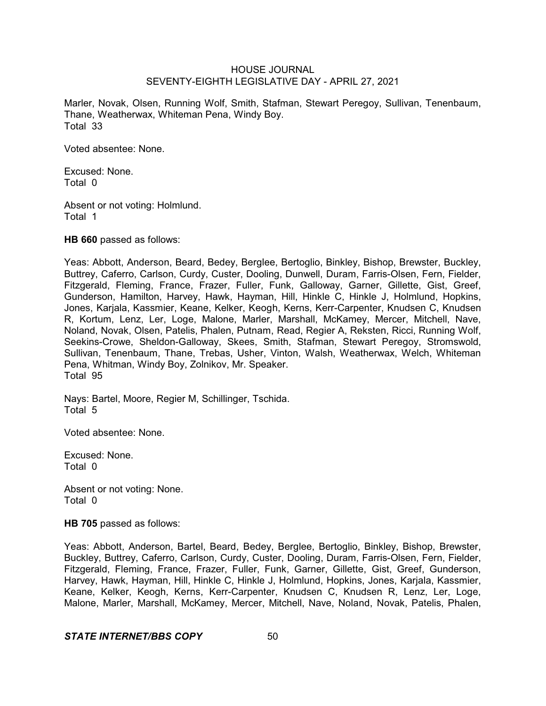Marler, Novak, Olsen, Running Wolf, Smith, Stafman, Stewart Peregoy, Sullivan, Tenenbaum, Thane, Weatherwax, Whiteman Pena, Windy Boy. Total 33

Voted absentee: None.

Excused: None. Total 0

Absent or not voting: Holmlund. Total 1

**HB 660** passed as follows:

Yeas: Abbott, Anderson, Beard, Bedey, Berglee, Bertoglio, Binkley, Bishop, Brewster, Buckley, Buttrey, Caferro, Carlson, Curdy, Custer, Dooling, Dunwell, Duram, Farris-Olsen, Fern, Fielder, Fitzgerald, Fleming, France, Frazer, Fuller, Funk, Galloway, Garner, Gillette, Gist, Greef, Gunderson, Hamilton, Harvey, Hawk, Hayman, Hill, Hinkle C, Hinkle J, Holmlund, Hopkins, Jones, Karjala, Kassmier, Keane, Kelker, Keogh, Kerns, Kerr-Carpenter, Knudsen C, Knudsen R, Kortum, Lenz, Ler, Loge, Malone, Marler, Marshall, McKamey, Mercer, Mitchell, Nave, Noland, Novak, Olsen, Patelis, Phalen, Putnam, Read, Regier A, Reksten, Ricci, Running Wolf, Seekins-Crowe, Sheldon-Galloway, Skees, Smith, Stafman, Stewart Peregoy, Stromswold, Sullivan, Tenenbaum, Thane, Trebas, Usher, Vinton, Walsh, Weatherwax, Welch, Whiteman Pena, Whitman, Windy Boy, Zolnikov, Mr. Speaker. Total 95

Nays: Bartel, Moore, Regier M, Schillinger, Tschida. Total 5

Voted absentee: None.

Excused: None. Total 0

Absent or not voting: None. Total 0

**HB 705** passed as follows:

Yeas: Abbott, Anderson, Bartel, Beard, Bedey, Berglee, Bertoglio, Binkley, Bishop, Brewster, Buckley, Buttrey, Caferro, Carlson, Curdy, Custer, Dooling, Duram, Farris-Olsen, Fern, Fielder, Fitzgerald, Fleming, France, Frazer, Fuller, Funk, Garner, Gillette, Gist, Greef, Gunderson, Harvey, Hawk, Hayman, Hill, Hinkle C, Hinkle J, Holmlund, Hopkins, Jones, Karjala, Kassmier, Keane, Kelker, Keogh, Kerns, Kerr-Carpenter, Knudsen C, Knudsen R, Lenz, Ler, Loge, Malone, Marler, Marshall, McKamey, Mercer, Mitchell, Nave, Noland, Novak, Patelis, Phalen,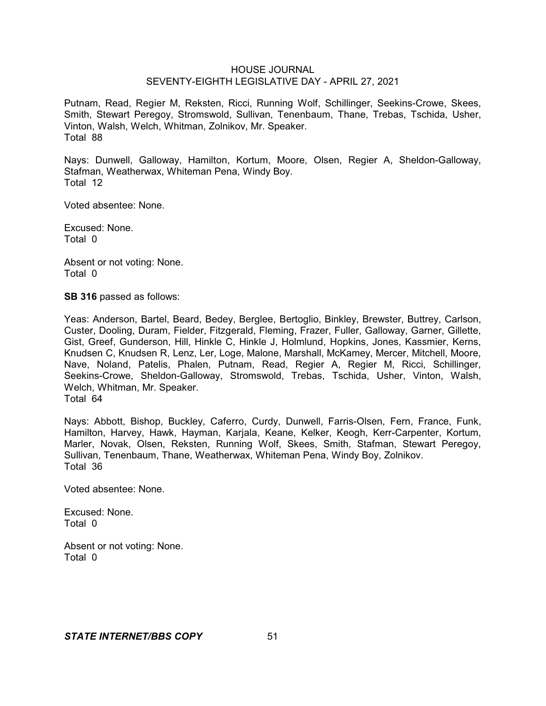Putnam, Read, Regier M, Reksten, Ricci, Running Wolf, Schillinger, Seekins-Crowe, Skees, Smith, Stewart Peregoy, Stromswold, Sullivan, Tenenbaum, Thane, Trebas, Tschida, Usher, Vinton, Walsh, Welch, Whitman, Zolnikov, Mr. Speaker. Total 88

Nays: Dunwell, Galloway, Hamilton, Kortum, Moore, Olsen, Regier A, Sheldon-Galloway, Stafman, Weatherwax, Whiteman Pena, Windy Boy. Total 12

Voted absentee: None.

Excused: None. Total 0

Absent or not voting: None. Total 0

**SB 316** passed as follows:

Yeas: Anderson, Bartel, Beard, Bedey, Berglee, Bertoglio, Binkley, Brewster, Buttrey, Carlson, Custer, Dooling, Duram, Fielder, Fitzgerald, Fleming, Frazer, Fuller, Galloway, Garner, Gillette, Gist, Greef, Gunderson, Hill, Hinkle C, Hinkle J, Holmlund, Hopkins, Jones, Kassmier, Kerns, Knudsen C, Knudsen R, Lenz, Ler, Loge, Malone, Marshall, McKamey, Mercer, Mitchell, Moore, Nave, Noland, Patelis, Phalen, Putnam, Read, Regier A, Regier M, Ricci, Schillinger, Seekins-Crowe, Sheldon-Galloway, Stromswold, Trebas, Tschida, Usher, Vinton, Walsh, Welch, Whitman, Mr. Speaker. Total 64

Nays: Abbott, Bishop, Buckley, Caferro, Curdy, Dunwell, Farris-Olsen, Fern, France, Funk, Hamilton, Harvey, Hawk, Hayman, Karjala, Keane, Kelker, Keogh, Kerr-Carpenter, Kortum, Marler, Novak, Olsen, Reksten, Running Wolf, Skees, Smith, Stafman, Stewart Peregoy, Sullivan, Tenenbaum, Thane, Weatherwax, Whiteman Pena, Windy Boy, Zolnikov. Total 36

Voted absentee: None.

Excused: None. Total 0

Absent or not voting: None. Total 0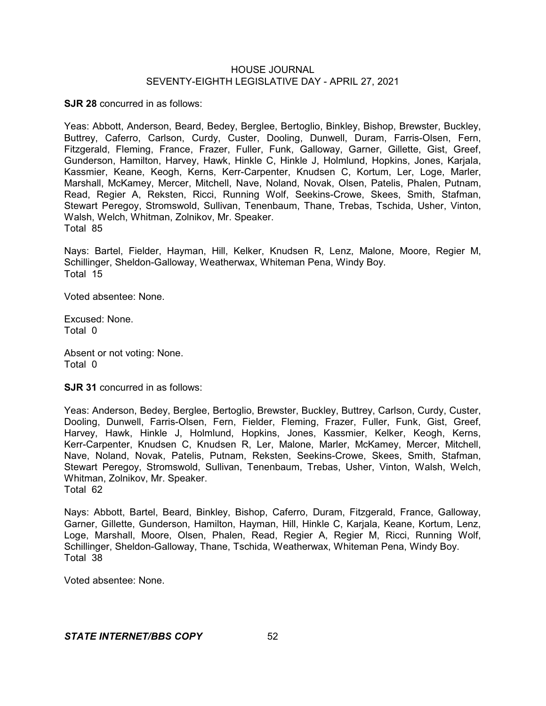**SJR 28** concurred in as follows:

Yeas: Abbott, Anderson, Beard, Bedey, Berglee, Bertoglio, Binkley, Bishop, Brewster, Buckley, Buttrey, Caferro, Carlson, Curdy, Custer, Dooling, Dunwell, Duram, Farris-Olsen, Fern, Fitzgerald, Fleming, France, Frazer, Fuller, Funk, Galloway, Garner, Gillette, Gist, Greef, Gunderson, Hamilton, Harvey, Hawk, Hinkle C, Hinkle J, Holmlund, Hopkins, Jones, Karjala, Kassmier, Keane, Keogh, Kerns, Kerr-Carpenter, Knudsen C, Kortum, Ler, Loge, Marler, Marshall, McKamey, Mercer, Mitchell, Nave, Noland, Novak, Olsen, Patelis, Phalen, Putnam, Read, Regier A, Reksten, Ricci, Running Wolf, Seekins-Crowe, Skees, Smith, Stafman, Stewart Peregoy, Stromswold, Sullivan, Tenenbaum, Thane, Trebas, Tschida, Usher, Vinton, Walsh, Welch, Whitman, Zolnikov, Mr. Speaker. Total 85

Nays: Bartel, Fielder, Hayman, Hill, Kelker, Knudsen R, Lenz, Malone, Moore, Regier M, Schillinger, Sheldon-Galloway, Weatherwax, Whiteman Pena, Windy Boy. Total 15

Voted absentee: None.

Excused: None. Total 0

Absent or not voting: None. Total 0

**SJR 31** concurred in as follows:

Yeas: Anderson, Bedey, Berglee, Bertoglio, Brewster, Buckley, Buttrey, Carlson, Curdy, Custer, Dooling, Dunwell, Farris-Olsen, Fern, Fielder, Fleming, Frazer, Fuller, Funk, Gist, Greef, Harvey, Hawk, Hinkle J, Holmlund, Hopkins, Jones, Kassmier, Kelker, Keogh, Kerns, Kerr-Carpenter, Knudsen C, Knudsen R, Ler, Malone, Marler, McKamey, Mercer, Mitchell, Nave, Noland, Novak, Patelis, Putnam, Reksten, Seekins-Crowe, Skees, Smith, Stafman, Stewart Peregoy, Stromswold, Sullivan, Tenenbaum, Trebas, Usher, Vinton, Walsh, Welch, Whitman, Zolnikov, Mr. Speaker. Total 62

Nays: Abbott, Bartel, Beard, Binkley, Bishop, Caferro, Duram, Fitzgerald, France, Galloway, Garner, Gillette, Gunderson, Hamilton, Hayman, Hill, Hinkle C, Karjala, Keane, Kortum, Lenz, Loge, Marshall, Moore, Olsen, Phalen, Read, Regier A, Regier M, Ricci, Running Wolf, Schillinger, Sheldon-Galloway, Thane, Tschida, Weatherwax, Whiteman Pena, Windy Boy. Total 38

Voted absentee: None.